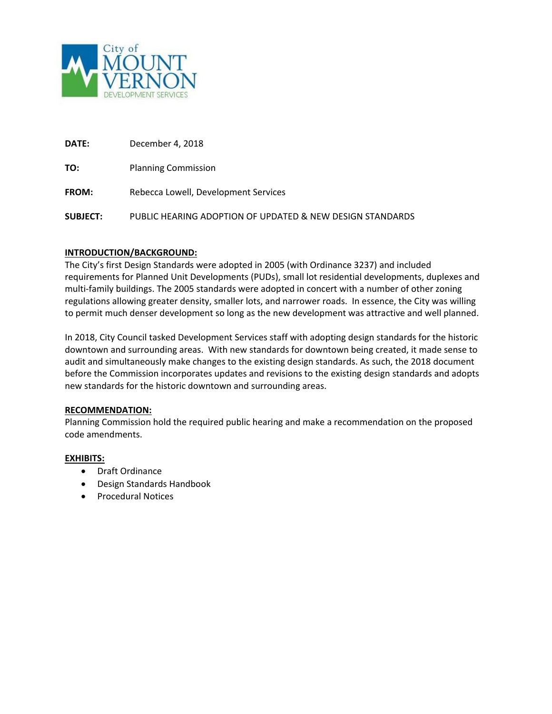

**DATE:** December 4, 2018

**TO:** Planning Commission

**FROM:** Rebecca Lowell, Development Services

**SUBJECT:** PUBLIC HEARING ADOPTION OF UPDATED & NEW DESIGN STANDARDS

#### **INTRODUCTION/BACKGROUND:**

The City's first Design Standards were adopted in 2005 (with Ordinance 3237) and included requirements for Planned Unit Developments (PUDs), small lot residential developments, duplexes and multi-family buildings. The 2005 standards were adopted in concert with a number of other zoning regulations allowing greater density, smaller lots, and narrower roads. In essence, the City was willing to permit much denser development so long as the new development was attractive and well planned.

In 2018, City Council tasked Development Services staff with adopting design standards for the historic downtown and surrounding areas. With new standards for downtown being created, it made sense to audit and simultaneously make changes to the existing design standards. As such, the 2018 document before the Commission incorporates updates and revisions to the existing design standards and adopts new standards for the historic downtown and surrounding areas.

#### **RECOMMENDATION:**

Planning Commission hold the required public hearing and make a recommendation on the proposed code amendments.

#### **EXHIBITS:**

- Draft Ordinance
- Design Standards Handbook
- Procedural Notices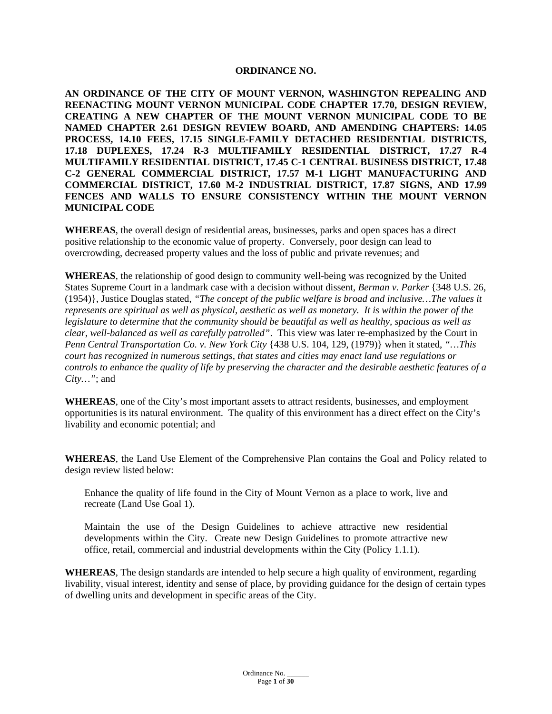#### **ORDINANCE NO.**

**AN ORDINANCE OF THE CITY OF MOUNT VERNON, WASHINGTON REPEALING AND REENACTING MOUNT VERNON MUNICIPAL CODE CHAPTER 17.70, DESIGN REVIEW, CREATING A NEW CHAPTER OF THE MOUNT VERNON MUNICIPAL CODE TO BE NAMED CHAPTER 2.61 DESIGN REVIEW BOARD, AND AMENDING CHAPTERS: 14.05 PROCESS, 14.10 FEES, 17.15 SINGLE-FAMILY DETACHED RESIDENTIAL DISTRICTS, 17.18 DUPLEXES, 17.24 R-3 MULTIFAMILY RESIDENTIAL DISTRICT, 17.27 R-4 MULTIFAMILY RESIDENTIAL DISTRICT, 17.45 C-1 CENTRAL BUSINESS DISTRICT, 17.48 C-2 GENERAL COMMERCIAL DISTRICT, 17.57 M-1 LIGHT MANUFACTURING AND COMMERCIAL DISTRICT, 17.60 M-2 INDUSTRIAL DISTRICT, 17.87 SIGNS, AND 17.99 FENCES AND WALLS TO ENSURE CONSISTENCY WITHIN THE MOUNT VERNON MUNICIPAL CODE**

**WHEREAS**, the overall design of residential areas, businesses, parks and open spaces has a direct positive relationship to the economic value of property. Conversely, poor design can lead to overcrowding, decreased property values and the loss of public and private revenues; and

**WHEREAS**, the relationship of good design to community well-being was recognized by the United States Supreme Court in a landmark case with a decision without dissent, *Berman v. Parker* {348 U.S. 26, (1954)}, Justice Douglas stated, *"The concept of the public welfare is broad and inclusive…The values it represents are spiritual as well as physical, aesthetic as well as monetary. It is within the power of the legislature to determine that the community should be beautiful as well as healthy, spacious as well as clear, well-balanced as well as carefully patrolled"*. This view was later re-emphasized by the Court in *Penn Central Transportation Co. v. New York City* {438 U.S. 104, 129, (1979)} when it stated, *"…This court has recognized in numerous settings, that states and cities may enact land use regulations or controls to enhance the quality of life by preserving the character and the desirable aesthetic features of a City…"*; and

**WHEREAS**, one of the City's most important assets to attract residents, businesses, and employment opportunities is its natural environment. The quality of this environment has a direct effect on the City's livability and economic potential; and

**WHEREAS**, the Land Use Element of the Comprehensive Plan contains the Goal and Policy related to design review listed below:

Enhance the quality of life found in the City of Mount Vernon as a place to work, live and recreate (Land Use Goal 1).

Maintain the use of the Design Guidelines to achieve attractive new residential developments within the City. Create new Design Guidelines to promote attractive new office, retail, commercial and industrial developments within the City (Policy 1.1.1).

**WHEREAS**, The design standards are intended to help secure a high quality of environment, regarding livability, visual interest, identity and sense of place, by providing guidance for the design of certain types of dwelling units and development in specific areas of the City.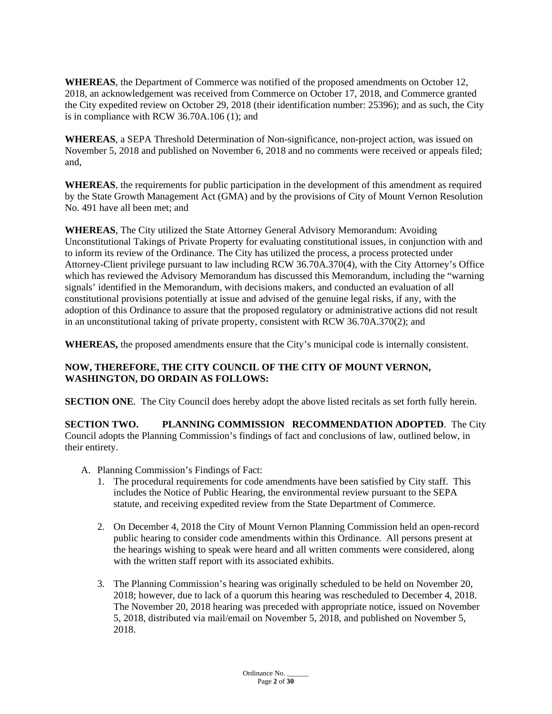**WHEREAS**, the Department of Commerce was notified of the proposed amendments on October 12, 2018, an acknowledgement was received from Commerce on October 17, 2018, and Commerce granted the City expedited review on October 29, 2018 (their identification number: 25396); and as such, the City is in compliance with RCW 36.70A.106 (1); and

**WHEREAS**, a SEPA Threshold Determination of Non-significance, non-project action, was issued on November 5, 2018 and published on November 6, 2018 and no comments were received or appeals filed; and,

**WHEREAS**, the requirements for public participation in the development of this amendment as required by the State Growth Management Act (GMA) and by the provisions of City of Mount Vernon Resolution No. 491 have all been met; and

**WHEREAS**, The City utilized the State Attorney General Advisory Memorandum: Avoiding Unconstitutional Takings of Private Property for evaluating constitutional issues, in conjunction with and to inform its review of the Ordinance. The City has utilized the process, a process protected under Attorney-Client privilege pursuant to law including RCW 36.70A.370(4), with the City Attorney's Office which has reviewed the Advisory Memorandum has discussed this Memorandum, including the "warning signals' identified in the Memorandum, with decisions makers, and conducted an evaluation of all constitutional provisions potentially at issue and advised of the genuine legal risks, if any, with the adoption of this Ordinance to assure that the proposed regulatory or administrative actions did not result in an unconstitutional taking of private property, consistent with RCW 36.70A.370(2); and

**WHEREAS,** the proposed amendments ensure that the City's municipal code is internally consistent.

# **NOW, THEREFORE, THE CITY COUNCIL OF THE CITY OF MOUNT VERNON, WASHINGTON, DO ORDAIN AS FOLLOWS:**

**SECTION ONE**. The City Council does hereby adopt the above listed recitals as set forth fully herein.

**SECTION TWO. PLANNING COMMISSION RECOMMENDATION ADOPTED**. The City Council adopts the Planning Commission's findings of fact and conclusions of law, outlined below, in their entirety.

- A. Planning Commission's Findings of Fact:
	- 1. The procedural requirements for code amendments have been satisfied by City staff. This includes the Notice of Public Hearing, the environmental review pursuant to the SEPA statute, and receiving expedited review from the State Department of Commerce.
	- 2. On December 4, 2018 the City of Mount Vernon Planning Commission held an open-record public hearing to consider code amendments within this Ordinance. All persons present at the hearings wishing to speak were heard and all written comments were considered, along with the written staff report with its associated exhibits.
	- 3. The Planning Commission's hearing was originally scheduled to be held on November 20, 2018; however, due to lack of a quorum this hearing was rescheduled to December 4, 2018. The November 20, 2018 hearing was preceded with appropriate notice, issued on November 5, 2018, distributed via mail/email on November 5, 2018, and published on November 5, 2018.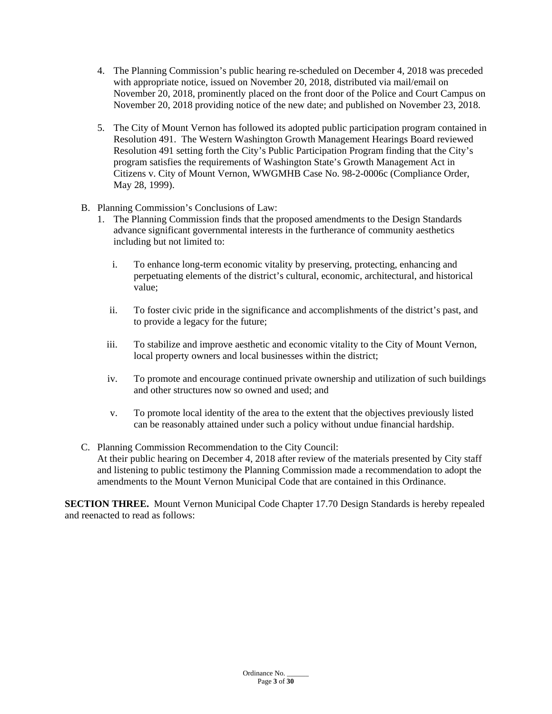- 4. The Planning Commission's public hearing re-scheduled on December 4, 2018 was preceded with appropriate notice, issued on November 20, 2018, distributed via mail/email on November 20, 2018, prominently placed on the front door of the Police and Court Campus on November 20, 2018 providing notice of the new date; and published on November 23, 2018.
- 5. The City of Mount Vernon has followed its adopted public participation program contained in Resolution 491. The Western Washington Growth Management Hearings Board reviewed Resolution 491 setting forth the City's Public Participation Program finding that the City's program satisfies the requirements of Washington State's Growth Management Act in Citizens v. City of Mount Vernon, WWGMHB Case No. 98-2-0006c (Compliance Order, May 28, 1999).
- B. Planning Commission's Conclusions of Law:
	- 1. The Planning Commission finds that the proposed amendments to the Design Standards advance significant governmental interests in the furtherance of community aesthetics including but not limited to:
		- i. To enhance long-term economic vitality by preserving, protecting, enhancing and perpetuating elements of the district's cultural, economic, architectural, and historical value;
		- ii. To foster civic pride in the significance and accomplishments of the district's past, and to provide a legacy for the future;
		- iii. To stabilize and improve aesthetic and economic vitality to the City of Mount Vernon, local property owners and local businesses within the district;
		- iv. To promote and encourage continued private ownership and utilization of such buildings and other structures now so owned and used; and
		- v. To promote local identity of the area to the extent that the objectives previously listed can be reasonably attained under such a policy without undue financial hardship.
- C. Planning Commission Recommendation to the City Council: At their public hearing on December 4, 2018 after review of the materials presented by City staff and listening to public testimony the Planning Commission made a recommendation to adopt the amendments to the Mount Vernon Municipal Code that are contained in this Ordinance.

**SECTION THREE.** Mount Vernon Municipal Code Chapter 17.70 Design Standards is hereby repealed and reenacted to read as follows: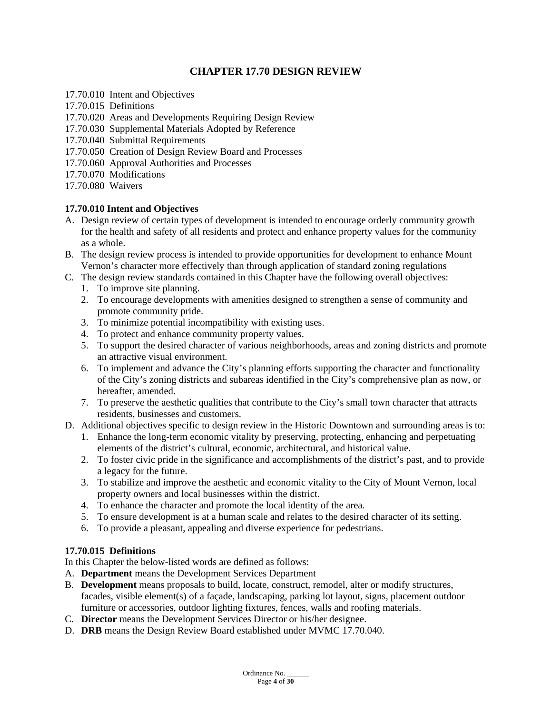# **CHAPTER 17.70 DESIGN REVIEW**

- 17.70.010 Intent and Objectives
- 17.70.015 Definitions
- 17.70.020 Areas and Developments Requiring Design Review
- 17.70.030 Supplemental Materials Adopted by Reference
- 17.70.040 Submittal Requirements
- 17.70.050 Creation of Design Review Board and Processes
- 17.70.060 Approval Authorities and Processes
- 17.70.070 Modifications
- 17.70.080 Waivers

#### **17.70.010 Intent and Objectives**

- A. Design review of certain types of development is intended to encourage orderly community growth for the health and safety of all residents and protect and enhance property values for the community as a whole.
- B. The design review process is intended to provide opportunities for development to enhance Mount Vernon's character more effectively than through application of standard zoning regulations
- C. The design review standards contained in this Chapter have the following overall objectives:
	- 1. To improve site planning.
	- 2. To encourage developments with amenities designed to strengthen a sense of community and promote community pride.
	- 3. To minimize potential incompatibility with existing uses.
	- 4. To protect and enhance community property values.
	- 5. To support the desired character of various neighborhoods, areas and zoning districts and promote an attractive visual environment.
	- 6. To implement and advance the City's planning efforts supporting the character and functionality of the City's zoning districts and subareas identified in the City's comprehensive plan as now, or hereafter, amended.
	- 7. To preserve the aesthetic qualities that contribute to the City's small town character that attracts residents, businesses and customers.
- D. Additional objectives specific to design review in the Historic Downtown and surrounding areas is to:
	- 1. Enhance the long-term economic vitality by preserving, protecting, enhancing and perpetuating elements of the district's cultural, economic, architectural, and historical value.
	- 2. To foster civic pride in the significance and accomplishments of the district's past, and to provide a legacy for the future.
	- 3. To stabilize and improve the aesthetic and economic vitality to the City of Mount Vernon, local property owners and local businesses within the district.
	- 4. To enhance the character and promote the local identity of the area.
	- 5. To ensure development is at a human scale and relates to the desired character of its setting.
	- 6. To provide a pleasant, appealing and diverse experience for pedestrians.

# **17.70.015 Definitions**

In this Chapter the below-listed words are defined as follows:

- A. **Department** means the Development Services Department
- B. **Development** means proposals to build, locate, construct, remodel, alter or modify structures, facades, visible element(s) of a façade, landscaping, parking lot layout, signs, placement outdoor furniture or accessories, outdoor lighting fixtures, fences, walls and roofing materials.
- C. **Director** means the Development Services Director or his/her designee.
- D. **DRB** means the Design Review Board established under MVMC 17.70.040.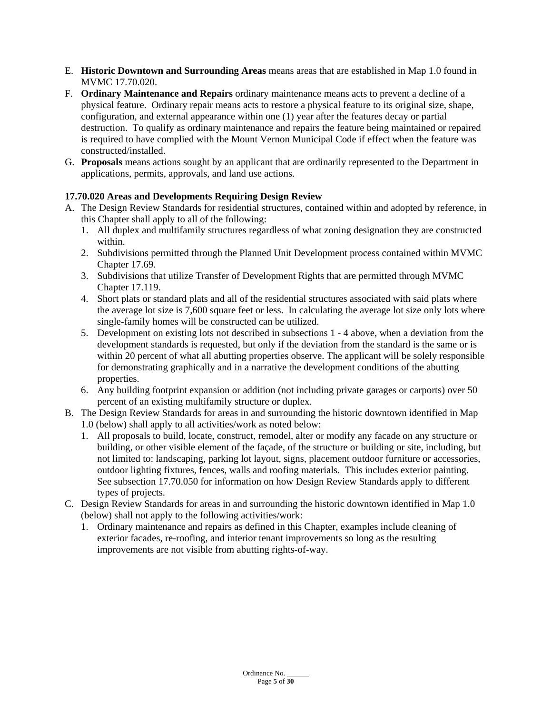- E. **Historic Downtown and Surrounding Areas** means areas that are established in Map 1.0 found in MVMC 17.70.020.
- F. **Ordinary Maintenance and Repairs** ordinary maintenance means acts to prevent a decline of a physical feature. Ordinary repair means acts to restore a physical feature to its original size, shape, configuration, and external appearance within one (1) year after the features decay or partial destruction. To qualify as ordinary maintenance and repairs the feature being maintained or repaired is required to have complied with the Mount Vernon Municipal Code if effect when the feature was constructed/installed.
- G. **Proposals** means actions sought by an applicant that are ordinarily represented to the Department in applications, permits, approvals, and land use actions.

# **17.70.020 Areas and Developments Requiring Design Review**

- A. The Design Review Standards for residential structures, contained within and adopted by reference, in this Chapter shall apply to all of the following:
	- 1. All duplex and multifamily structures regardless of what zoning designation they are constructed within.
	- 2. Subdivisions permitted through the Planned Unit Development process contained within MVMC Chapter 17.69.
	- 3. Subdivisions that utilize Transfer of Development Rights that are permitted through MVMC Chapter 17.119.
	- 4. Short plats or standard plats and all of the residential structures associated with said plats where the average lot size is 7,600 square feet or less. In calculating the average lot size only lots where single-family homes will be constructed can be utilized.
	- 5. Development on existing lots not described in subsections 1 4 above, when a deviation from the development standards is requested, but only if the deviation from the standard is the same or is within 20 percent of what all abutting properties observe. The applicant will be solely responsible for demonstrating graphically and in a narrative the development conditions of the abutting properties.
	- 6. Any building footprint expansion or addition (not including private garages or carports) over 50 percent of an existing multifamily structure or duplex.
- B. The Design Review Standards for areas in and surrounding the historic downtown identified in Map 1.0 (below) shall apply to all activities/work as noted below:
	- 1. All proposals to build, locate, construct, remodel, alter or modify any facade on any structure or building, or other visible element of the façade, of the structure or building or site, including, but not limited to: landscaping, parking lot layout, signs, placement outdoor furniture or accessories, outdoor lighting fixtures, fences, walls and roofing materials. This includes exterior painting. See subsection 17.70.050 for information on how Design Review Standards apply to different types of projects.
- C. Design Review Standards for areas in and surrounding the historic downtown identified in Map 1.0 (below) shall not apply to the following activities/work:
	- 1. Ordinary maintenance and repairs as defined in this Chapter, examples include cleaning of exterior facades, re-roofing, and interior tenant improvements so long as the resulting improvements are not visible from abutting rights-of-way.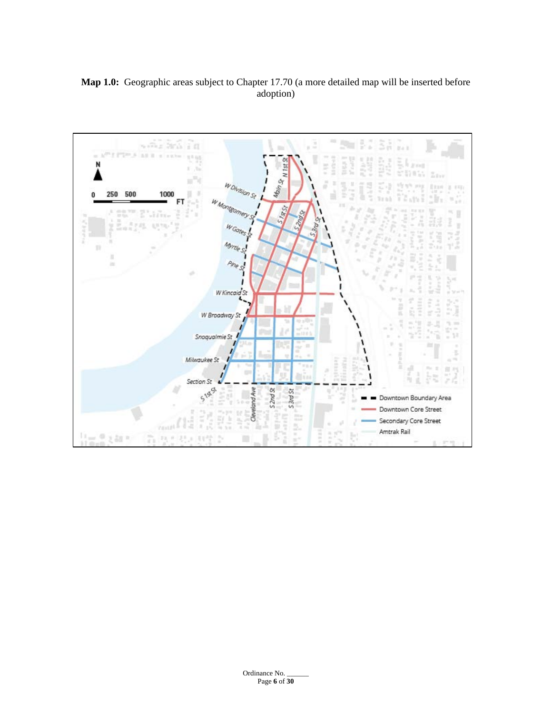# **Map 1.0:** Geographic areas subject to Chapter 17.70 (a more detailed map will be inserted before adoption)

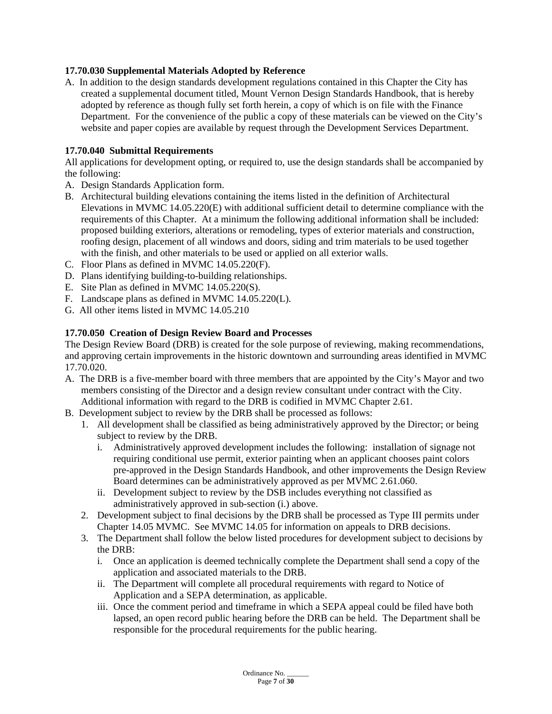# **17.70.030 Supplemental Materials Adopted by Reference**

A. In addition to the design standards development regulations contained in this Chapter the City has created a supplemental document titled, Mount Vernon Design Standards Handbook, that is hereby adopted by reference as though fully set forth herein, a copy of which is on file with the Finance Department. For the convenience of the public a copy of these materials can be viewed on the City's website and paper copies are available by request through the Development Services Department.

# **17.70.040 Submittal Requirements**

All applications for development opting, or required to, use the design standards shall be accompanied by the following:

- A. Design Standards Application form.
- B. Architectural building elevations containing the items listed in the definition of Architectural Elevations in MVMC 14.05.220(E) with additional sufficient detail to determine compliance with the requirements of this Chapter. At a minimum the following additional information shall be included: proposed building exteriors, alterations or remodeling, types of exterior materials and construction, roofing design, placement of all windows and doors, siding and trim materials to be used together with the finish, and other materials to be used or applied on all exterior walls.
- C. Floor Plans as defined in MVMC 14.05.220(F).
- D. Plans identifying building-to-building relationships.
- E. Site Plan as defined in MVMC 14.05.220(S).
- F. Landscape plans as defined in MVMC 14.05.220(L).
- G. All other items listed in MVMC 14.05.210

# **17.70.050 Creation of Design Review Board and Processes**

The Design Review Board (DRB) is created for the sole purpose of reviewing, making recommendations, and approving certain improvements in the historic downtown and surrounding areas identified in MVMC 17.70.020.

- A. The DRB is a five-member board with three members that are appointed by the City's Mayor and two members consisting of the Director and a design review consultant under contract with the City. Additional information with regard to the DRB is codified in MVMC Chapter 2.61.
- B. Development subject to review by the DRB shall be processed as follows:
	- 1. All development shall be classified as being administratively approved by the Director; or being subject to review by the DRB.
		- i. Administratively approved development includes the following: installation of signage not requiring conditional use permit, exterior painting when an applicant chooses paint colors pre-approved in the Design Standards Handbook, and other improvements the Design Review Board determines can be administratively approved as per MVMC 2.61.060.
		- ii. Development subject to review by the DSB includes everything not classified as administratively approved in sub-section (i.) above.
	- 2. Development subject to final decisions by the DRB shall be processed as Type III permits under Chapter 14.05 MVMC. See MVMC 14.05 for information on appeals to DRB decisions.
	- 3. The Department shall follow the below listed procedures for development subject to decisions by the DRB:
		- i. Once an application is deemed technically complete the Department shall send a copy of the application and associated materials to the DRB.
		- ii. The Department will complete all procedural requirements with regard to Notice of Application and a SEPA determination, as applicable.
		- iii. Once the comment period and timeframe in which a SEPA appeal could be filed have both lapsed, an open record public hearing before the DRB can be held. The Department shall be responsible for the procedural requirements for the public hearing.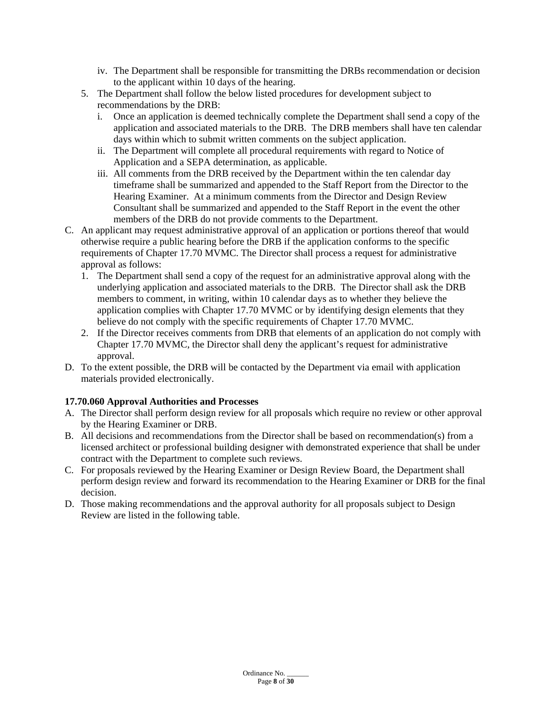- iv. The Department shall be responsible for transmitting the DRBs recommendation or decision to the applicant within 10 days of the hearing.
- 5. The Department shall follow the below listed procedures for development subject to recommendations by the DRB:
	- i. Once an application is deemed technically complete the Department shall send a copy of the application and associated materials to the DRB. The DRB members shall have ten calendar days within which to submit written comments on the subject application.
	- ii. The Department will complete all procedural requirements with regard to Notice of Application and a SEPA determination, as applicable.
	- iii. All comments from the DRB received by the Department within the ten calendar day timeframe shall be summarized and appended to the Staff Report from the Director to the Hearing Examiner. At a minimum comments from the Director and Design Review Consultant shall be summarized and appended to the Staff Report in the event the other members of the DRB do not provide comments to the Department.
- C. An applicant may request administrative approval of an application or portions thereof that would otherwise require a public hearing before the DRB if the application conforms to the specific requirements of Chapter 17.70 MVMC. The Director shall process a request for administrative approval as follows:
	- 1. The Department shall send a copy of the request for an administrative approval along with the underlying application and associated materials to the DRB. The Director shall ask the DRB members to comment, in writing, within 10 calendar days as to whether they believe the application complies with Chapter 17.70 MVMC or by identifying design elements that they believe do not comply with the specific requirements of Chapter 17.70 MVMC.
	- 2. If the Director receives comments from DRB that elements of an application do not comply with Chapter 17.70 MVMC, the Director shall deny the applicant's request for administrative approval.
- D. To the extent possible, the DRB will be contacted by the Department via email with application materials provided electronically.

# **17.70.060 Approval Authorities and Processes**

- A. The Director shall perform design review for all proposals which require no review or other approval by the Hearing Examiner or DRB.
- B. All decisions and recommendations from the Director shall be based on recommendation(s) from a licensed architect or professional building designer with demonstrated experience that shall be under contract with the Department to complete such reviews.
- C. For proposals reviewed by the Hearing Examiner or Design Review Board, the Department shall perform design review and forward its recommendation to the Hearing Examiner or DRB for the final decision.
- D. Those making recommendations and the approval authority for all proposals subject to Design Review are listed in the following table.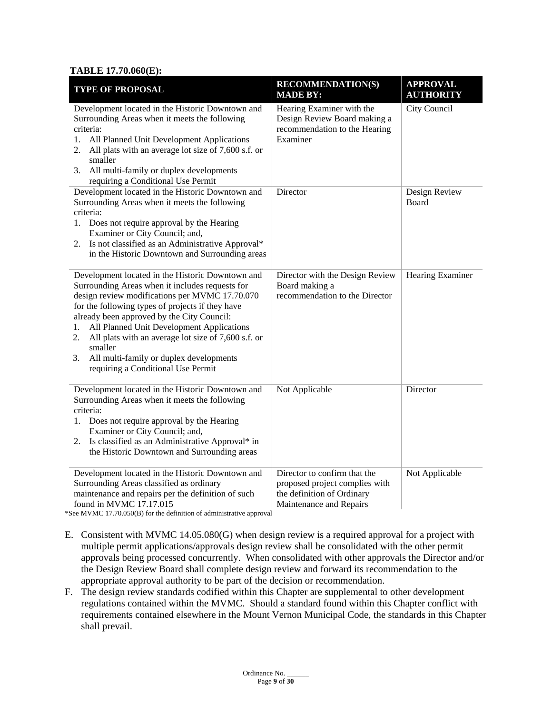#### **TABLE 17.70.060(E):**

| <b>TYPE OF PROPOSAL</b>                                                                                                                                                                                                                                                                                                                                                                                                                                                   | <b>RECOMMENDATION(S)</b><br><b>MADE BY:</b>                                                                             | <b>APPROVAL</b><br><b>AUTHORITY</b> |
|---------------------------------------------------------------------------------------------------------------------------------------------------------------------------------------------------------------------------------------------------------------------------------------------------------------------------------------------------------------------------------------------------------------------------------------------------------------------------|-------------------------------------------------------------------------------------------------------------------------|-------------------------------------|
| Development located in the Historic Downtown and<br>Surrounding Areas when it meets the following<br>criteria:<br>All Planned Unit Development Applications<br>1.<br>All plats with an average lot size of 7,600 s.f. or<br>2.<br>smaller<br>All multi-family or duplex developments<br>3.<br>requiring a Conditional Use Permit                                                                                                                                          | Hearing Examiner with the<br>Design Review Board making a<br>recommendation to the Hearing<br>Examiner                  | City Council                        |
| Development located in the Historic Downtown and<br>Surrounding Areas when it meets the following<br>criteria:<br>1. Does not require approval by the Hearing<br>Examiner or City Council; and,<br>2. Is not classified as an Administrative Approval*<br>in the Historic Downtown and Surrounding areas                                                                                                                                                                  | Director                                                                                                                | Design Review<br>Board              |
| Development located in the Historic Downtown and<br>Surrounding Areas when it includes requests for<br>design review modifications per MVMC 17.70.070<br>for the following types of projects if they have<br>already been approved by the City Council:<br>All Planned Unit Development Applications<br>1.<br>All plats with an average lot size of 7,600 s.f. or<br>2.<br>smaller<br>All multi-family or duplex developments<br>3.<br>requiring a Conditional Use Permit | Director with the Design Review<br>Board making a<br>recommendation to the Director                                     | Hearing Examiner                    |
| Development located in the Historic Downtown and<br>Surrounding Areas when it meets the following<br>criteria:<br>Does not require approval by the Hearing<br>1.<br>Examiner or City Council; and,<br>Is classified as an Administrative Approval* in<br>2.<br>the Historic Downtown and Surrounding areas                                                                                                                                                                | Not Applicable                                                                                                          | Director                            |
| Development located in the Historic Downtown and<br>Surrounding Areas classified as ordinary<br>maintenance and repairs per the definition of such<br>found in MVMC 17.17.015<br>$\cdots$ $\cdots$                                                                                                                                                                                                                                                                        | Director to confirm that the<br>proposed project complies with<br>the definition of Ordinary<br>Maintenance and Repairs | Not Applicable                      |

\*See MVMC 17.70.050(B) for the definition of administrative approval

- E. Consistent with MVMC 14.05.080(G) when design review is a required approval for a project with multiple permit applications/approvals design review shall be consolidated with the other permit approvals being processed concurrently. When consolidated with other approvals the Director and/or the Design Review Board shall complete design review and forward its recommendation to the appropriate approval authority to be part of the decision or recommendation.
- F. The design review standards codified within this Chapter are supplemental to other development regulations contained within the MVMC. Should a standard found within this Chapter conflict with requirements contained elsewhere in the Mount Vernon Municipal Code, the standards in this Chapter shall prevail.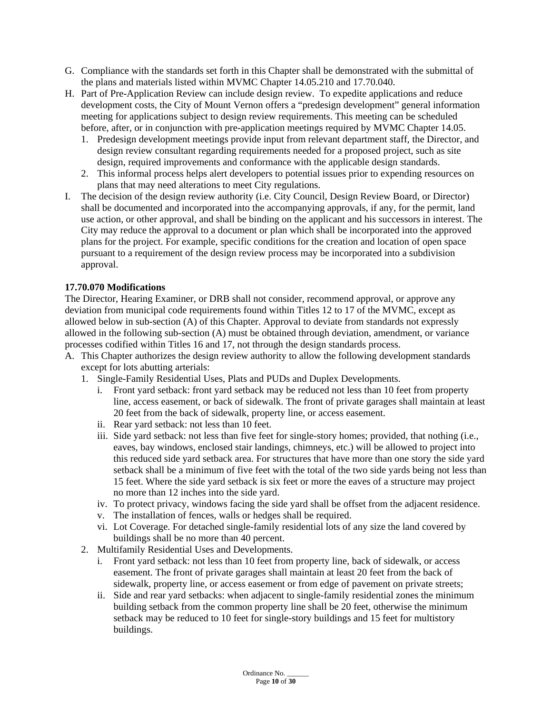- G. Compliance with the standards set forth in this Chapter shall be demonstrated with the submittal of the plans and materials listed within MVMC Chapter 14.05.210 and 17.70.040.
- H. Part of Pre-Application Review can include design review. To expedite applications and reduce development costs, the City of Mount Vernon offers a "predesign development" general information meeting for applications subject to design review requirements. This meeting can be scheduled before, after, or in conjunction with pre-application meetings required by MVMC Chapter 14.05.
	- 1. Predesign development meetings provide input from relevant department staff, the Director, and design review consultant regarding requirements needed for a proposed project, such as site design, required improvements and conformance with the applicable design standards.
	- 2. This informal process helps alert developers to potential issues prior to expending resources on plans that may need alterations to meet City regulations.
- I. The decision of the design review authority (i.e. City Council, Design Review Board, or Director) shall be documented and incorporated into the accompanying approvals, if any, for the permit, land use action, or other approval, and shall be binding on the applicant and his successors in interest. The City may reduce the approval to a document or plan which shall be incorporated into the approved plans for the project. For example, specific conditions for the creation and location of open space pursuant to a requirement of the design review process may be incorporated into a subdivision approval.

# **17.70.070 Modifications**

The Director, Hearing Examiner, or DRB shall not consider, recommend approval, or approve any deviation from municipal code requirements found within Titles 12 to 17 of the MVMC, except as allowed below in sub-section (A) of this Chapter. Approval to deviate from standards not expressly allowed in the following sub-section (A) must be obtained through deviation, amendment, or variance processes codified within Titles 16 and 17, not through the design standards process.

- A. This Chapter authorizes the design review authority to allow the following development standards except for lots abutting arterials:
	- 1. Single-Family Residential Uses, Plats and PUDs and Duplex Developments.
		- i. Front yard setback: front yard setback may be reduced not less than 10 feet from property line, access easement, or back of sidewalk. The front of private garages shall maintain at least 20 feet from the back of sidewalk, property line, or access easement.
		- ii. Rear yard setback: not less than 10 feet.
		- iii. Side yard setback: not less than five feet for single-story homes; provided, that nothing (i.e., eaves, bay windows, enclosed stair landings, chimneys, etc.) will be allowed to project into this reduced side yard setback area. For structures that have more than one story the side yard setback shall be a minimum of five feet with the total of the two side yards being not less than 15 feet. Where the side yard setback is six feet or more the eaves of a structure may project no more than 12 inches into the side yard.
		- iv. To protect privacy, windows facing the side yard shall be offset from the adjacent residence.
		- v. The installation of fences, walls or hedges shall be required.
		- vi. Lot Coverage. For detached single-family residential lots of any size the land covered by buildings shall be no more than 40 percent.
	- 2. Multifamily Residential Uses and Developments.
		- i. Front yard setback: not less than 10 feet from property line, back of sidewalk, or access easement. The front of private garages shall maintain at least 20 feet from the back of sidewalk, property line, or access easement or from edge of pavement on private streets;
		- ii. Side and rear yard setbacks: when adjacent to single-family residential zones the minimum building setback from the common property line shall be 20 feet, otherwise the minimum setback may be reduced to 10 feet for single-story buildings and 15 feet for multistory buildings.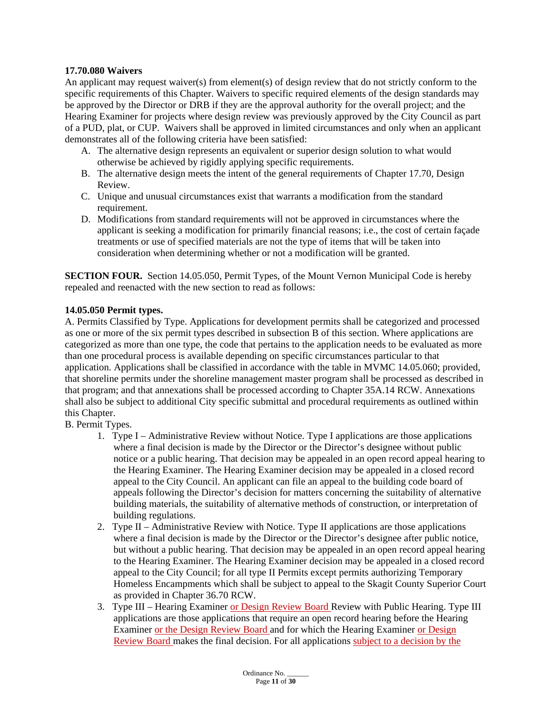# **17.70.080 Waivers**

An applicant may request waiver(s) from element(s) of design review that do not strictly conform to the specific requirements of this Chapter. Waivers to specific required elements of the design standards may be approved by the Director or DRB if they are the approval authority for the overall project; and the Hearing Examiner for projects where design review was previously approved by the City Council as part of a PUD, plat, or CUP. Waivers shall be approved in limited circumstances and only when an applicant demonstrates all of the following criteria have been satisfied:

- A. The alternative design represents an equivalent or superior design solution to what would otherwise be achieved by rigidly applying specific requirements.
- B. The alternative design meets the intent of the general requirements of Chapter 17.70, Design Review.
- C. Unique and unusual circumstances exist that warrants a modification from the standard requirement.
- D. Modifications from standard requirements will not be approved in circumstances where the applicant is seeking a modification for primarily financial reasons; i.e., the cost of certain façade treatments or use of specified materials are not the type of items that will be taken into consideration when determining whether or not a modification will be granted.

**SECTION FOUR.** Section 14.05.050, Permit Types, of the Mount Vernon Municipal Code is hereby repealed and reenacted with the new section to read as follows:

# **14.05.050 Permit types.**

A. Permits Classified by Type. Applications for development permits shall be categorized and processed as one or more of the six permit types described in subsection B of this section. Where applications are categorized as more than one type, the code that pertains to the application needs to be evaluated as more than one procedural process is available depending on specific circumstances particular to that application. Applications shall be classified in accordance with the table in MVMC 14.05.060; provided, that shoreline permits under the shoreline management master program shall be processed as described in that program; and that annexations shall be processed according to Chapter 35A.14 RCW. Annexations shall also be subject to additional City specific submittal and procedural requirements as outlined within this Chapter.

B. Permit Types.

- 1. Type I Administrative Review without Notice. Type I applications are those applications where a final decision is made by the Director or the Director's designee without public notice or a public hearing. That decision may be appealed in an open record appeal hearing to the Hearing Examiner. The Hearing Examiner decision may be appealed in a closed record appeal to the City Council. An applicant can file an appeal to the building code board of appeals following the Director's decision for matters concerning the suitability of alternative building materials, the suitability of alternative methods of construction, or interpretation of building regulations.
- 2. Type II Administrative Review with Notice. Type II applications are those applications where a final decision is made by the Director or the Director's designee after public notice, but without a public hearing. That decision may be appealed in an open record appeal hearing to the Hearing Examiner. The Hearing Examiner decision may be appealed in a closed record appeal to the City Council; for all type II Permits except permits authorizing Temporary Homeless Encampments which shall be subject to appeal to the Skagit County Superior Court as provided in Chapter 36.70 RCW.
- 3. Type III Hearing Examiner or Design Review Board Review with Public Hearing. Type III applications are those applications that require an open record hearing before the Hearing Examiner or the Design Review Board and for which the Hearing Examiner or Design Review Board makes the final decision. For all applications subject to a decision by the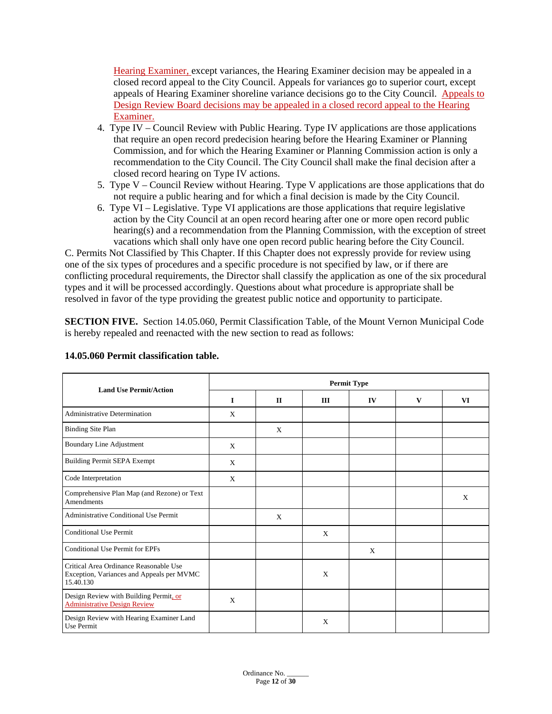Hearing Examiner, except variances, the Hearing Examiner decision may be appealed in a closed record appeal to the City Council. Appeals for variances go to superior court, except appeals of Hearing Examiner shoreline variance decisions go to the City Council. Appeals to Design Review Board decisions may be appealed in a closed record appeal to the Hearing Examiner.

- 4. Type IV Council Review with Public Hearing. Type IV applications are those applications that require an open record predecision hearing before the Hearing Examiner or Planning Commission, and for which the Hearing Examiner or Planning Commission action is only a recommendation to the City Council. The City Council shall make the final decision after a closed record hearing on Type IV actions.
- 5. Type V Council Review without Hearing. Type V applications are those applications that do not require a public hearing and for which a final decision is made by the City Council.
- 6. Type VI Legislative. Type VI applications are those applications that require legislative action by the City Council at an open record hearing after one or more open record public hearing(s) and a recommendation from the Planning Commission, with the exception of street vacations which shall only have one open record public hearing before the City Council.

C. Permits Not Classified by This Chapter. If this Chapter does not expressly provide for review using one of the six types of procedures and a specific procedure is not specified by law, or if there are conflicting procedural requirements, the Director shall classify the application as one of the six procedural types and it will be processed accordingly. Questions about what procedure is appropriate shall be resolved in favor of the type providing the greatest public notice and opportunity to participate.

**SECTION FIVE.** Section 14.05.060, Permit Classification Table, of the Mount Vernon Municipal Code is hereby repealed and reenacted with the new section to read as follows:

| <b>Land Use Permit/Action</b>                                                                    | <b>Permit Type</b> |              |     |    |   |    |  |  |
|--------------------------------------------------------------------------------------------------|--------------------|--------------|-----|----|---|----|--|--|
|                                                                                                  | $\mathbf I$        | $\mathbf{I}$ | III | IV | V | VI |  |  |
| <b>Administrative Determination</b>                                                              | X                  |              |     |    |   |    |  |  |
| <b>Binding Site Plan</b>                                                                         |                    | X            |     |    |   |    |  |  |
| Boundary Line Adjustment                                                                         | X                  |              |     |    |   |    |  |  |
| <b>Building Permit SEPA Exempt</b>                                                               | X                  |              |     |    |   |    |  |  |
| Code Interpretation                                                                              | X                  |              |     |    |   |    |  |  |
| Comprehensive Plan Map (and Rezone) or Text<br><b>Amendments</b>                                 |                    |              |     |    |   | X  |  |  |
| <b>Administrative Conditional Use Permit</b>                                                     |                    | X            |     |    |   |    |  |  |
| <b>Conditional Use Permit</b>                                                                    |                    |              | X   |    |   |    |  |  |
| <b>Conditional Use Permit for EPFs</b>                                                           |                    |              |     | X  |   |    |  |  |
| Critical Area Ordinance Reasonable Use<br>Exception, Variances and Appeals per MVMC<br>15.40.130 |                    |              | X   |    |   |    |  |  |
| Design Review with Building Permit, or<br><b>Administrative Design Review</b>                    | X                  |              |     |    |   |    |  |  |
| Design Review with Hearing Examiner Land<br>Use Permit                                           |                    |              | X   |    |   |    |  |  |

# **14.05.060 Permit classification table.**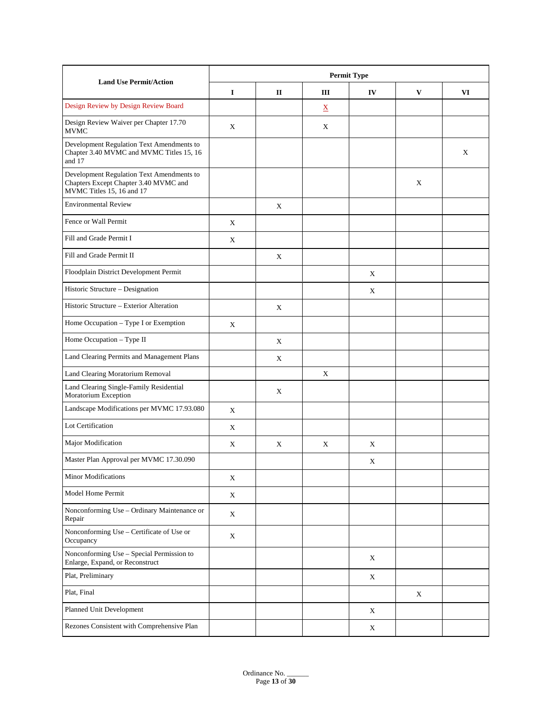|                                                                                                                 | <b>Permit Type</b> |              |                          |    |   |    |  |
|-----------------------------------------------------------------------------------------------------------------|--------------------|--------------|--------------------------|----|---|----|--|
| <b>Land Use Permit/Action</b>                                                                                   | $\bf{I}$           | $\mathbf{I}$ | Ш                        | IV | V | VI |  |
| Design Review by Design Review Board                                                                            |                    |              | $\underline{\mathbf{X}}$ |    |   |    |  |
| Design Review Waiver per Chapter 17.70<br><b>MVMC</b>                                                           | X                  |              | X                        |    |   |    |  |
| Development Regulation Text Amendments to<br>Chapter 3.40 MVMC and MVMC Titles 15, 16<br>and 17                 |                    |              |                          |    |   | X  |  |
| Development Regulation Text Amendments to<br>Chapters Except Chapter 3.40 MVMC and<br>MVMC Titles 15, 16 and 17 |                    |              |                          |    | X |    |  |
| <b>Environmental Review</b>                                                                                     |                    | X            |                          |    |   |    |  |
| Fence or Wall Permit                                                                                            | X                  |              |                          |    |   |    |  |
| Fill and Grade Permit I                                                                                         | X                  |              |                          |    |   |    |  |
| Fill and Grade Permit II                                                                                        |                    | X            |                          |    |   |    |  |
| Floodplain District Development Permit                                                                          |                    |              |                          | X  |   |    |  |
| Historic Structure - Designation                                                                                |                    |              |                          | X  |   |    |  |
| Historic Structure – Exterior Alteration                                                                        |                    | X            |                          |    |   |    |  |
| Home Occupation - Type I or Exemption                                                                           | $\mathbf X$        |              |                          |    |   |    |  |
| Home Occupation - Type II                                                                                       |                    | X            |                          |    |   |    |  |
| Land Clearing Permits and Management Plans                                                                      |                    | X            |                          |    |   |    |  |
| Land Clearing Moratorium Removal                                                                                |                    |              | X                        |    |   |    |  |
| Land Clearing Single-Family Residential<br>Moratorium Exception                                                 |                    | X            |                          |    |   |    |  |
| Landscape Modifications per MVMC 17.93.080                                                                      | $\mathbf X$        |              |                          |    |   |    |  |
| Lot Certification                                                                                               | $\mathbf X$        |              |                          |    |   |    |  |
| Major Modification                                                                                              | X                  | X            | X                        | X  |   |    |  |
| Master Plan Approval per MVMC 17.30.090                                                                         |                    |              |                          | Χ  |   |    |  |
| <b>Minor Modifications</b>                                                                                      | X                  |              |                          |    |   |    |  |
| Model Home Permit                                                                                               | $\mathbf X$        |              |                          |    |   |    |  |
| Nonconforming Use - Ordinary Maintenance or<br>Repair                                                           | X                  |              |                          |    |   |    |  |
| Nonconforming Use - Certificate of Use or<br>Occupancy                                                          | $\mathbf X$        |              |                          |    |   |    |  |
| Nonconforming Use - Special Permission to<br>Enlarge, Expand, or Reconstruct                                    |                    |              |                          | X  |   |    |  |
| Plat, Preliminary                                                                                               |                    |              |                          | X  |   |    |  |
| Plat, Final                                                                                                     |                    |              |                          |    | X |    |  |
| Planned Unit Development                                                                                        |                    |              |                          | X  |   |    |  |
| Rezones Consistent with Comprehensive Plan                                                                      |                    |              |                          | X  |   |    |  |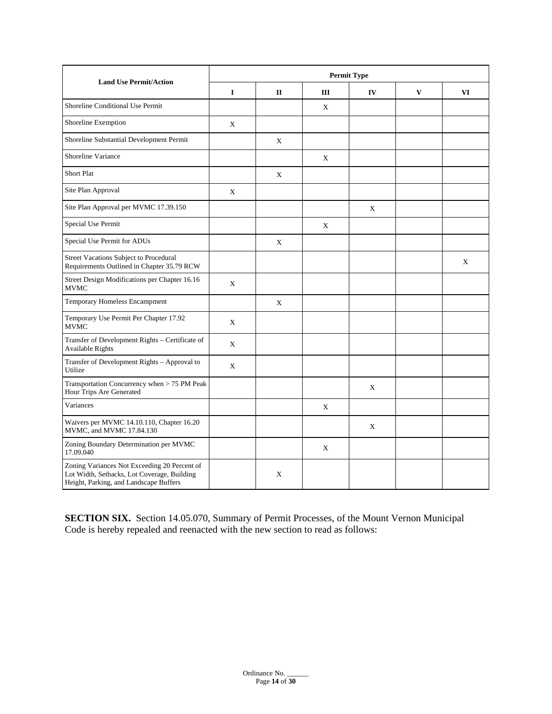| <b>Land Use Permit/Action</b>                                                                                                         | <b>Permit Type</b> |              |     |    |              |    |  |
|---------------------------------------------------------------------------------------------------------------------------------------|--------------------|--------------|-----|----|--------------|----|--|
|                                                                                                                                       | $\mathbf I$        | $\mathbf{I}$ | III | IV | $\mathbf{V}$ | VI |  |
| Shoreline Conditional Use Permit                                                                                                      |                    |              | X   |    |              |    |  |
| Shoreline Exemption                                                                                                                   | X                  |              |     |    |              |    |  |
| Shoreline Substantial Development Permit                                                                                              |                    | Χ            |     |    |              |    |  |
| Shoreline Variance                                                                                                                    |                    |              | X   |    |              |    |  |
| <b>Short Plat</b>                                                                                                                     |                    | X            |     |    |              |    |  |
| Site Plan Approval                                                                                                                    | X                  |              |     |    |              |    |  |
| Site Plan Approval per MVMC 17.39.150                                                                                                 |                    |              |     | X  |              |    |  |
| Special Use Permit                                                                                                                    |                    |              | X   |    |              |    |  |
| Special Use Permit for ADUs                                                                                                           |                    | X            |     |    |              |    |  |
| Street Vacations Subject to Procedural<br>Requirements Outlined in Chapter 35.79 RCW                                                  |                    |              |     |    |              | X  |  |
| Street Design Modifications per Chapter 16.16<br><b>MVMC</b>                                                                          | X                  |              |     |    |              |    |  |
| Temporary Homeless Encampment                                                                                                         |                    | X            |     |    |              |    |  |
| Temporary Use Permit Per Chapter 17.92<br><b>MVMC</b>                                                                                 | X                  |              |     |    |              |    |  |
| Transfer of Development Rights - Certificate of<br><b>Available Rights</b>                                                            | X                  |              |     |    |              |    |  |
| Transfer of Development Rights - Approval to<br>Utilize                                                                               | X                  |              |     |    |              |    |  |
| Transportation Concurrency when > 75 PM Peak<br>Hour Trips Are Generated                                                              |                    |              |     | X  |              |    |  |
| Variances                                                                                                                             |                    |              | X   |    |              |    |  |
| Waivers per MVMC 14.10.110, Chapter 16.20<br>MVMC, and MVMC 17.84.130                                                                 |                    |              |     | X  |              |    |  |
| Zoning Boundary Determination per MVMC<br>17.09.040                                                                                   |                    |              | X   |    |              |    |  |
| Zoning Variances Not Exceeding 20 Percent of<br>Lot Width, Setbacks, Lot Coverage, Building<br>Height, Parking, and Landscape Buffers |                    | X            |     |    |              |    |  |

**SECTION SIX.** Section 14.05.070, Summary of Permit Processes, of the Mount Vernon Municipal Code is hereby repealed and reenacted with the new section to read as follows: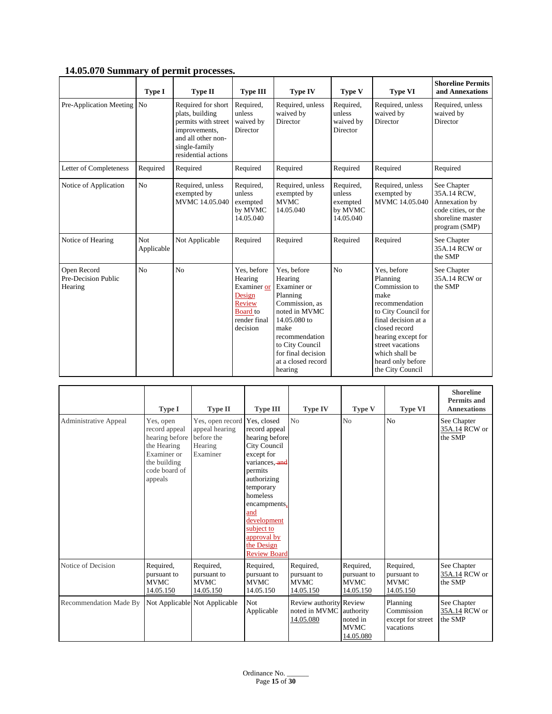| 1100007070 Dummary or permit processes.       | Type I            | <b>Type II</b>                                                                                                                              | <b>Type III</b>                                                                                          | <b>Type IV</b>                                                                                                                                                                                           | <b>Type V</b>                                           | <b>Type VI</b>                                                                                                                                                                                                                         | <b>Shoreline Permits</b><br>and Annexations                                                             |
|-----------------------------------------------|-------------------|---------------------------------------------------------------------------------------------------------------------------------------------|----------------------------------------------------------------------------------------------------------|----------------------------------------------------------------------------------------------------------------------------------------------------------------------------------------------------------|---------------------------------------------------------|----------------------------------------------------------------------------------------------------------------------------------------------------------------------------------------------------------------------------------------|---------------------------------------------------------------------------------------------------------|
| Pre-Application Meeting No                    |                   | Required for short<br>plats, building<br>permits with street<br>improvements,<br>and all other non-<br>single-family<br>residential actions | Required,<br>unless<br>waived by<br>Director                                                             | Required, unless<br>waived by<br>Director                                                                                                                                                                | Required,<br>unless<br>waived by<br>Director            | Required, unless<br>waived by<br>Director                                                                                                                                                                                              | Required, unless<br>waived by<br>Director                                                               |
| Letter of Completeness                        | Required          | Required                                                                                                                                    | Required                                                                                                 | Required                                                                                                                                                                                                 | Required                                                | Required                                                                                                                                                                                                                               | Required                                                                                                |
| Notice of Application                         | N <sub>o</sub>    | Required, unless<br>exempted by<br>MVMC 14.05.040                                                                                           | Required,<br>unless<br>exempted<br>by MVMC<br>14.05.040                                                  | Required, unless<br>exempted by<br><b>MVMC</b><br>14.05.040                                                                                                                                              | Required,<br>unless<br>exempted<br>by MVMC<br>14.05.040 | Required, unless<br>exempted by<br>MVMC 14.05.040                                                                                                                                                                                      | See Chapter<br>35A.14 RCW,<br>Annexation by<br>code cities, or the<br>shoreline master<br>program (SMP) |
| Notice of Hearing                             | Not<br>Applicable | Not Applicable                                                                                                                              | Required                                                                                                 | Required                                                                                                                                                                                                 | Required                                                | Required                                                                                                                                                                                                                               | See Chapter<br>35A.14 RCW or<br>the SMP                                                                 |
| Open Record<br>Pre-Decision Public<br>Hearing | N <sub>o</sub>    | N <sub>0</sub>                                                                                                                              | Yes, before<br>Hearing<br>Examiner or<br>Design<br>Review<br><b>Board</b> to<br>render final<br>decision | Yes, before<br>Hearing<br>Examiner or<br>Planning<br>Commission, as<br>noted in MVMC<br>14.05.080 to<br>make<br>recommendation<br>to City Council<br>for final decision<br>at a closed record<br>hearing | N <sub>o</sub>                                          | Yes, before<br>Planning<br>Commission to<br>make<br>recommendation<br>to City Council for<br>final decision at a<br>closed record<br>hearing except for<br>street vacations<br>which shall be<br>heard only before<br>the City Council | See Chapter<br>35A.14 RCW or<br>the SMP                                                                 |

# **14.05.070 Summary of permit processes.**

|                        | Type I                                                                                                                 | <b>Type II</b>                                                          | <b>Type III</b>                                                                                                                                                                                                                                                  | <b>Type IV</b>                                        | Type V                                               | <b>Type VI</b>                                           | <b>Shoreline</b><br><b>Permits and</b><br><b>Annexations</b> |
|------------------------|------------------------------------------------------------------------------------------------------------------------|-------------------------------------------------------------------------|------------------------------------------------------------------------------------------------------------------------------------------------------------------------------------------------------------------------------------------------------------------|-------------------------------------------------------|------------------------------------------------------|----------------------------------------------------------|--------------------------------------------------------------|
| Administrative Appeal  | Yes, open<br>record appeal<br>hearing before<br>the Hearing<br>Examiner or<br>the building<br>code board of<br>appeals | Yes, open record<br>appeal hearing<br>before the<br>Hearing<br>Examiner | Yes. closed<br>record appeal<br>hearing before<br><b>City Council</b><br>except for<br>variances, and<br>permits<br>authorizing<br>temporary<br>homeless<br>encampments,<br>and<br>development<br>subject to<br>approval by<br>the Design<br><b>Review Board</b> | No                                                    | N <sub>o</sub>                                       | N <sub>o</sub>                                           | See Chapter<br>35A.14 RCW or<br>the SMP                      |
| Notice of Decision     | Required,<br>pursuant to<br><b>MVMC</b><br>14.05.150                                                                   | Required,<br>pursuant to<br><b>MVMC</b><br>14.05.150                    | Required,<br>pursuant to<br><b>MVMC</b><br>14.05.150                                                                                                                                                                                                             | Required,<br>pursuant to<br><b>MVMC</b><br>14.05.150  | Required,<br>pursuant to<br><b>MVMC</b><br>14.05.150 | Required,<br>pursuant to<br><b>MVMC</b><br>14.05.150     | See Chapter<br>35A.14 RCW or<br>the SMP                      |
| Recommendation Made By |                                                                                                                        | Not Applicable Not Applicable                                           | Not<br>Applicable                                                                                                                                                                                                                                                | Review authority Review<br>noted in MVMC<br>14.05.080 | authority<br>noted in<br><b>MVMC</b><br>14.05.080    | Planning<br>Commission<br>except for street<br>vacations | See Chapter<br>35A.14 RCW or<br>the SMP                      |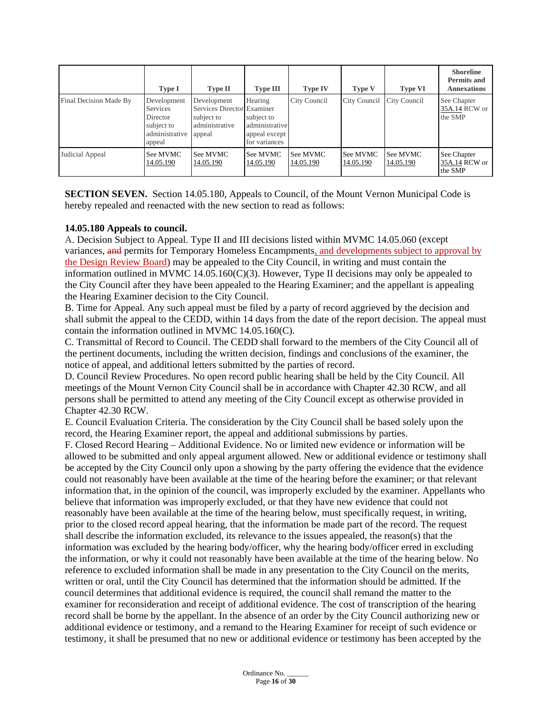|                        | Type I                                                                               | <b>Type II</b>                                                                      | <b>Type III</b>                                                           | <b>Type IV</b>        | <b>Type V</b>         | <b>Type VI</b>        | <b>Shoreline</b><br><b>Permits and</b><br><b>Annexations</b> |
|------------------------|--------------------------------------------------------------------------------------|-------------------------------------------------------------------------------------|---------------------------------------------------------------------------|-----------------------|-----------------------|-----------------------|--------------------------------------------------------------|
| Final Decision Made By | Development<br><b>Services</b><br>Director<br>subject to<br>administrative<br>appeal | Development<br>Services Director Examiner<br>subject to<br>administrative<br>appeal | Hearing<br>subject to<br>administrative<br>appeal except<br>for variances | City Council          | City Council          | City Council          | See Chapter<br>35A.14 RCW or<br>the SMP                      |
| Judicial Appeal        | See MVMC<br>14.05.190                                                                | See MVMC<br>14.05.190                                                               | See MVMC<br>14.05.190                                                     | See MVMC<br>14.05.190 | See MVMC<br>14.05.190 | See MVMC<br>14.05.190 | See Chapter<br>35A.14 RCW or<br>the SMP                      |

**SECTION SEVEN.** Section 14.05.180, Appeals to Council, of the Mount Vernon Municipal Code is hereby repealed and reenacted with the new section to read as follows:

#### **14.05.180 Appeals to council.**

A. Decision Subject to Appeal. Type II and III decisions listed within MVMC [14.05.060](http://www.codepublishing.com/WA/MountVernon/#!/MountVernon14/MountVernon1405.html#14.05.060) (except variances, and permits for Temporary Homeless Encampments, and developments subject to approval by the Design Review Board) may be appealed to the City Council, in writing and must contain the information outlined in MVMC [14.05.160\(](http://www.codepublishing.com/WA/MountVernon/#!/MountVernon14/MountVernon1405.html#14.05.160) $C(3)$ ). However, Type II decisions may only be appealed to the City Council after they have been appealed to the Hearing Examiner; and the appellant is appealing the Hearing Examiner decision to the City Council.

B. Time for Appeal. Any such appeal must be filed by a party of record aggrieved by the decision and shall submit the appeal to the CEDD, within 14 days from the date of the report decision. The appeal must contain the information outlined in MVMC [14.05.160\(](http://www.codepublishing.com/WA/MountVernon/#!/MountVernon14/MountVernon1405.html#14.05.160)C).

C. Transmittal of Record to Council. The CEDD shall forward to the members of the City Council all of the pertinent documents, including the written decision, findings and conclusions of the examiner, the notice of appeal, and additional letters submitted by the parties of record.

D. Council Review Procedures. No open record public hearing shall be held by the City Council. All meetings of the Mount Vernon City Council shall be in accordance with Chapter [42.30](http://www.codepublishing.com/cgi-bin/rcw.pl?cite=42.30) RCW, and all persons shall be permitted to attend any meeting of the City Council except as otherwise provided in Chapter [42.30](http://www.codepublishing.com/cgi-bin/rcw.pl?cite=42.30) RCW.

E. Council Evaluation Criteria. The consideration by the City Council shall be based solely upon the record, the Hearing Examiner report, the appeal and additional submissions by parties.

F. Closed Record Hearing – Additional Evidence. No or limited new evidence or information will be allowed to be submitted and only appeal argument allowed. New or additional evidence or testimony shall be accepted by the City Council only upon a showing by the party offering the evidence that the evidence could not reasonably have been available at the time of the hearing before the examiner; or that relevant information that, in the opinion of the council, was improperly excluded by the examiner. Appellants who believe that information was improperly excluded, or that they have new evidence that could not reasonably have been available at the time of the hearing below, must specifically request, in writing, prior to the closed record appeal hearing, that the information be made part of the record. The request shall describe the information excluded, its relevance to the issues appealed, the reason(s) that the information was excluded by the hearing body/officer, why the hearing body/officer erred in excluding the information, or why it could not reasonably have been available at the time of the hearing below. No reference to excluded information shall be made in any presentation to the City Council on the merits, written or oral, until the City Council has determined that the information should be admitted. If the council determines that additional evidence is required, the council shall remand the matter to the examiner for reconsideration and receipt of additional evidence. The cost of transcription of the hearing record shall be borne by the appellant. In the absence of an order by the City Council authorizing new or additional evidence or testimony, and a remand to the Hearing Examiner for receipt of such evidence or testimony, it shall be presumed that no new or additional evidence or testimony has been accepted by the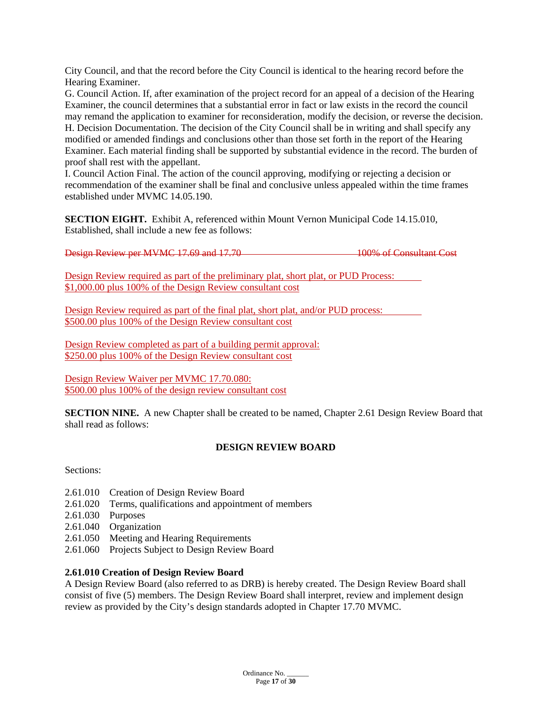City Council, and that the record before the City Council is identical to the hearing record before the Hearing Examiner.

G. Council Action. If, after examination of the project record for an appeal of a decision of the Hearing Examiner, the council determines that a substantial error in fact or law exists in the record the council may remand the application to examiner for reconsideration, modify the decision, or reverse the decision. H. Decision Documentation. The decision of the City Council shall be in writing and shall specify any modified or amended findings and conclusions other than those set forth in the report of the Hearing Examiner. Each material finding shall be supported by substantial evidence in the record. The burden of proof shall rest with the appellant.

I. Council Action Final. The action of the council approving, modifying or rejecting a decision or recommendation of the examiner shall be final and conclusive unless appealed within the time frames established under MVMC [14.05.190.](http://www.codepublishing.com/WA/MountVernon/#!/MountVernon14/MountVernon1405.html#14.05.190)

**SECTION EIGHT.** Exhibit A, referenced within Mount Vernon Municipal Code 14.15.010, Established, shall include a new fee as follows:

Design Review per MVMC 17.69 and 17.70 100% of Consultant Cost

Design Review required as part of the preliminary plat, short plat, or PUD Process: \$1,000.00 plus 100% of the Design Review consultant cost

Design Review required as part of the final plat, short plat, and/or PUD process: \$500.00 plus 100% of the Design Review consultant cost

Design Review completed as part of a building permit approval: \$250.00 plus 100% of the Design Review consultant cost

Design Review Waiver per MVMC 17.70.080: \$500.00 plus 100% of the design review consultant cost

**SECTION NINE.** A new Chapter shall be created to be named, Chapter 2.61 Design Review Board that shall read as follows:

# **DESIGN REVIEW BOARD**

Sections:

- 2.61.010 Creation of Design Review Board
- 2.61.020 Terms, qualifications and appointment of members
- 2.61.030 Purposes
- 2.61.040 Organization
- 2.61.050 Meeting and Hearing Requirements
- 2.61.060 Projects Subject to Design Review Board

# **2.61.010 Creation of Design Review Board**

A Design Review Board (also referred to as DRB) is hereby created. The Design Review Board shall consist of five (5) members. The Design Review Board shall interpret, review and implement design review as provided by the City's design standards adopted in Chapter 17.70 MVMC.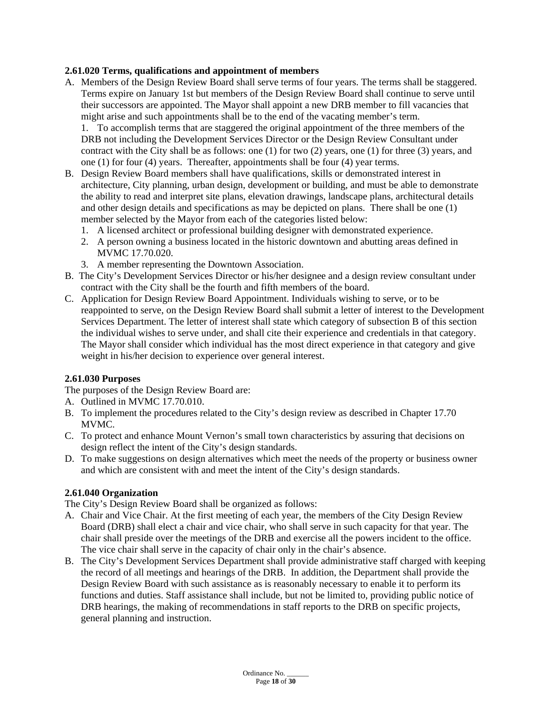# **2.61.020 Terms, qualifications and appointment of members**

A. Members of the Design Review Board shall serve terms of four years. The terms shall be staggered. Terms expire on January 1st but members of the Design Review Board shall continue to serve until their successors are appointed. The Mayor shall appoint a new DRB member to fill vacancies that might arise and such appointments shall be to the end of the vacating member's term.

1. To accomplish terms that are staggered the original appointment of the three members of the DRB not including the Development Services Director or the Design Review Consultant under contract with the City shall be as follows: one (1) for two (2) years, one (1) for three (3) years, and one (1) for four (4) years. Thereafter, appointments shall be four (4) year terms.

- B. Design Review Board members shall have qualifications, skills or demonstrated interest in architecture, City planning, urban design, development or building, and must be able to demonstrate the ability to read and interpret site plans, elevation drawings, landscape plans, architectural details and other design details and specifications as may be depicted on plans. There shall be one (1) member selected by the Mayor from each of the categories listed below:
	- 1. A licensed architect or professional building designer with demonstrated experience.
	- 2. A person owning a business located in the historic downtown and abutting areas defined in MVMC 17.70.020.
	- 3. A member representing the Downtown Association.
- B. The City's Development Services Director or his/her designee and a design review consultant under contract with the City shall be the fourth and fifth members of the board.
- C. Application for Design Review Board Appointment. Individuals wishing to serve, or to be reappointed to serve, on the Design Review Board shall submit a letter of interest to the Development Services Department. The letter of interest shall state which category of subsection B of this section the individual wishes to serve under, and shall cite their experience and credentials in that category. The Mayor shall consider which individual has the most direct experience in that category and give weight in his/her decision to experience over general interest.

#### **2.61.030 Purposes**

The purposes of the Design Review Board are:

- A. Outlined in MVMC 17.70.010.
- B. To implement the procedures related to the City's design review as described in Chapter 17.70 MVMC.
- C. To protect and enhance Mount Vernon's small town characteristics by assuring that decisions on design reflect the intent of the City's design standards.
- D. To make suggestions on design alternatives which meet the needs of the property or business owner and which are consistent with and meet the intent of the City's design standards.

#### **2.61.040 Organization**

The City's Design Review Board shall be organized as follows:

- A. Chair and Vice Chair. At the first meeting of each year, the members of the City Design Review Board (DRB) shall elect a chair and vice chair, who shall serve in such capacity for that year. The chair shall preside over the meetings of the DRB and exercise all the powers incident to the office. The vice chair shall serve in the capacity of chair only in the chair's absence.
- B. The City's Development Services Department shall provide administrative staff charged with keeping the record of all meetings and hearings of the DRB. In addition, the Department shall provide the Design Review Board with such assistance as is reasonably necessary to enable it to perform its functions and duties. Staff assistance shall include, but not be limited to, providing public notice of DRB hearings, the making of recommendations in staff reports to the DRB on specific projects, general planning and instruction.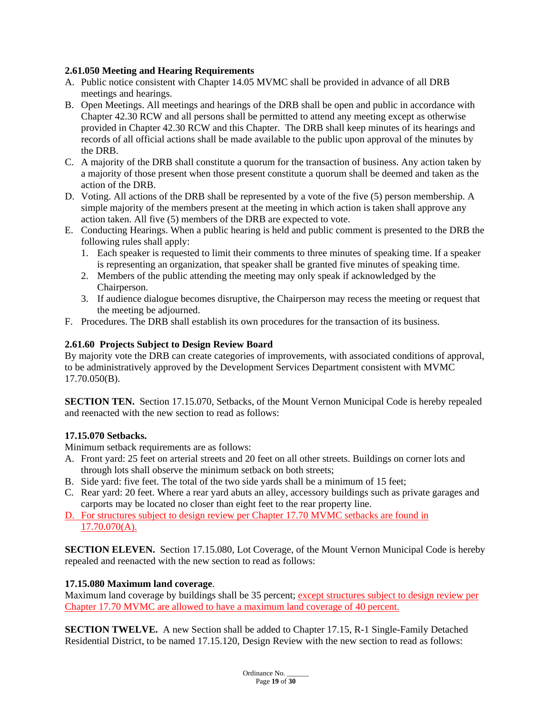# **2.61.050 Meeting and Hearing Requirements**

- A. Public notice consistent with Chapter 14.05 MVMC shall be provided in advance of all DRB meetings and hearings.
- B. Open Meetings. All meetings and hearings of the DRB shall be open and public in accordance with Chapter 42.30 RCW and all persons shall be permitted to attend any meeting except as otherwise provided in Chapter 42.30 RCW and this Chapter. The DRB shall keep minutes of its hearings and records of all official actions shall be made available to the public upon approval of the minutes by the DRB.
- C. A majority of the DRB shall constitute a quorum for the transaction of business. Any action taken by a majority of those present when those present constitute a quorum shall be deemed and taken as the action of the DRB.
- D. Voting. All actions of the DRB shall be represented by a vote of the five (5) person membership. A simple majority of the members present at the meeting in which action is taken shall approve any action taken. All five (5) members of the DRB are expected to vote.
- E. Conducting Hearings. When a public hearing is held and public comment is presented to the DRB the following rules shall apply:
	- 1. Each speaker is requested to limit their comments to three minutes of speaking time. If a speaker is representing an organization, that speaker shall be granted five minutes of speaking time.
	- 2. Members of the public attending the meeting may only speak if acknowledged by the Chairperson.
	- 3. If audience dialogue becomes disruptive, the Chairperson may recess the meeting or request that the meeting be adjourned.
- F. Procedures. The DRB shall establish its own procedures for the transaction of its business.

# **2.61.60 Projects Subject to Design Review Board**

By majority vote the DRB can create categories of improvements, with associated conditions of approval, to be administratively approved by the Development Services Department consistent with MVMC 17.70.050(B).

**SECTION TEN.** Section 17.15.070, Setbacks, of the Mount Vernon Municipal Code is hereby repealed and reenacted with the new section to read as follows:

#### **17.15.070 Setbacks.**

Minimum setback requirements are as follows:

- A. Front yard: 25 feet on arterial streets and 20 feet on all other streets. Buildings on corner lots and through lots shall observe the minimum setback on both streets;
- B. Side yard: five feet. The total of the two side yards shall be a minimum of 15 feet;
- C. Rear yard: 20 feet. Where a rear yard abuts an alley, accessory buildings such as private garages and carports may be located no closer than eight feet to the rear property line.
- D. For structures subject to design review per Chapter 17.70 MVMC setbacks are found in 17.70.070(A).

**SECTION ELEVEN.** Section 17.15.080, Lot Coverage, of the Mount Vernon Municipal Code is hereby repealed and reenacted with the new section to read as follows:

#### **17.15.080 Maximum land coverage**.

Maximum land coverage by buildings shall be 35 percent; except structures subject to design review per Chapter 17.70 MVMC are allowed to have a maximum land coverage of 40 percent.

**SECTION TWELVE.** A new Section shall be added to Chapter 17.15, R-1 Single-Family Detached Residential District, to be named 17.15.120, Design Review with the new section to read as follows: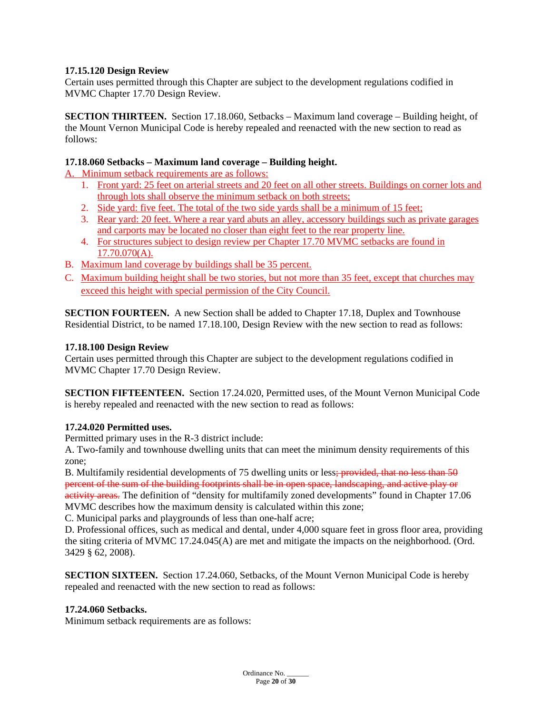# **17.15.120 Design Review**

Certain uses permitted through this Chapter are subject to the development regulations codified in MVMC Chapter 17.70 Design Review.

**SECTION THIRTEEN.** Section 17.18.060, Setbacks – Maximum land coverage – Building height, of the Mount Vernon Municipal Code is hereby repealed and reenacted with the new section to read as follows:

#### **17.18.060 Setbacks – Maximum land coverage – Building height.**

A. Minimum setback requirements are as follows:

- 1. Front yard: 25 feet on arterial streets and 20 feet on all other streets. Buildings on corner lots and through lots shall observe the minimum setback on both streets;
- 2. Side yard: five feet. The total of the two side yards shall be a minimum of 15 feet;
- 3. Rear yard: 20 feet. Where a rear yard abuts an alley, accessory buildings such as private garages and carports may be located no closer than eight feet to the rear property line.
- 4. For structures subject to design review per Chapter 17.70 MVMC setbacks are found in 17.70.070(A).
- B. Maximum land coverage by buildings shall be 35 percent.
- C. Maximum building height shall be two stories, but not more than 35 feet, except that churches may exceed this height with special permission of the City Council.

**SECTION FOURTEEN.** A new Section shall be added to Chapter 17.18, Duplex and Townhouse Residential District, to be named 17.18.100, Design Review with the new section to read as follows:

# **17.18.100 Design Review**

Certain uses permitted through this Chapter are subject to the development regulations codified in MVMC Chapter 17.70 Design Review.

**SECTION FIFTEENTEEN.** Section 17.24.020, Permitted uses, of the Mount Vernon Municipal Code is hereby repealed and reenacted with the new section to read as follows:

# **17.24.020 Permitted uses.**

Permitted primary uses in the R-3 district include:

A. Two-family and townhouse dwelling units that can meet the minimum density requirements of this zone;

B. Multifamily residential developments of 75 dwelling units or less; provided, that no less than 50 percent of the sum of the building footprints shall be in open space, landscaping, and active play or activity areas. The definition of "density for multifamily zoned developments" found in Chapter 17.06

MVMC describes how the maximum density is calculated within this zone;

C. Municipal parks and playgrounds of less than one-half acre;

D. Professional offices, such as medical and dental, under 4,000 square feet in gross floor area, providing the siting criteria of MVMC 17.24.045(A) are met and mitigate the impacts on the neighborhood. (Ord. 3429 § 62, 2008).

**SECTION SIXTEEN.** Section 17.24.060, Setbacks, of the Mount Vernon Municipal Code is hereby repealed and reenacted with the new section to read as follows:

#### **17.24.060 Setbacks.**

Minimum setback requirements are as follows:

Ordinance No. Page **20** of **30**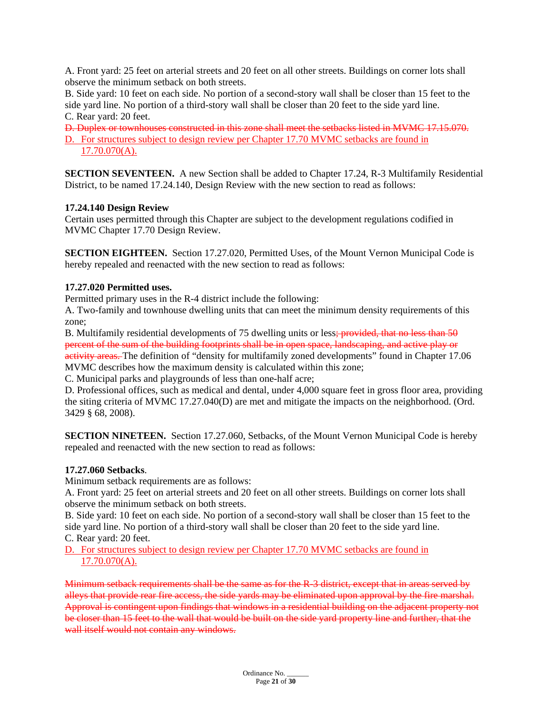A. Front yard: 25 feet on arterial streets and 20 feet on all other streets. Buildings on corner lots shall observe the minimum setback on both streets.

B. Side yard: 10 feet on each side. No portion of a second-story wall shall be closer than 15 feet to the side yard line. No portion of a third-story wall shall be closer than 20 feet to the side yard line. C. Rear yard: 20 feet.

D. Duplex or townhouses constructed in this zone shall meet the setbacks listed in MVMC 17.15.070. D. For structures subject to design review per Chapter 17.70 MVMC setbacks are found in 17.70.070(A).

**SECTION SEVENTEEN.** A new Section shall be added to Chapter 17.24, R-3 Multifamily Residential District, to be named 17.24.140, Design Review with the new section to read as follows:

# **17.24.140 Design Review**

Certain uses permitted through this Chapter are subject to the development regulations codified in MVMC Chapter 17.70 Design Review.

**SECTION EIGHTEEN.** Section 17.27.020, Permitted Uses, of the Mount Vernon Municipal Code is hereby repealed and reenacted with the new section to read as follows:

# **17.27.020 Permitted uses.**

Permitted primary uses in the R-4 district include the following:

A. Two-family and townhouse dwelling units that can meet the minimum density requirements of this zone;

B. Multifamily residential developments of 75 dwelling units or less; provided, that no less than 50 percent of the sum of the building footprints shall be in open space, landscaping, and active play or activity areas. The definition of "density for multifamily zoned developments" found in Chapter 17.06 MVMC describes how the maximum density is calculated within this zone;

C. Municipal parks and playgrounds of less than one-half acre;

D. Professional offices, such as medical and dental, under 4,000 square feet in gross floor area, providing the siting criteria of MVMC 17.27.040(D) are met and mitigate the impacts on the neighborhood. (Ord. 3429 § 68, 2008).

**SECTION NINETEEN.** Section 17.27.060, Setbacks, of the Mount Vernon Municipal Code is hereby repealed and reenacted with the new section to read as follows:

#### **17.27.060 Setbacks**.

Minimum setback requirements are as follows:

A. Front yard: 25 feet on arterial streets and 20 feet on all other streets. Buildings on corner lots shall observe the minimum setback on both streets.

B. Side yard: 10 feet on each side. No portion of a second-story wall shall be closer than 15 feet to the side yard line. No portion of a third-story wall shall be closer than 20 feet to the side yard line. C. Rear yard: 20 feet.

D. For structures subject to design review per Chapter 17.70 MVMC setbacks are found in 17.70.070(A).

Minimum setback requirements shall be the same as for the R-3 district, except that in areas served by alleys that provide rear fire access, the side yards may be eliminated upon approval by the fire marshal. Approval is contingent upon findings that windows in a residential building on the adjacent property not be closer than 15 feet to the wall that would be built on the side yard property line and further, that the wall itself would not contain any windows.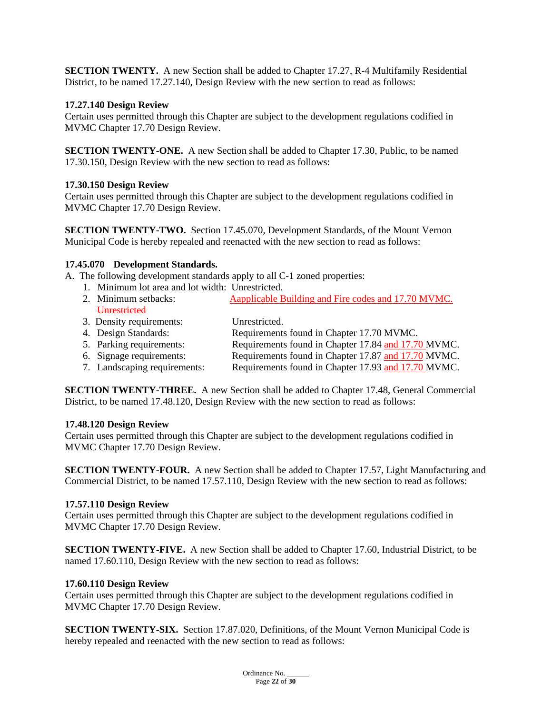**SECTION TWENTY.** A new Section shall be added to Chapter 17.27, R-4 Multifamily Residential District, to be named 17.27.140, Design Review with the new section to read as follows:

#### **17.27.140 Design Review**

Certain uses permitted through this Chapter are subject to the development regulations codified in MVMC Chapter 17.70 Design Review.

**SECTION TWENTY-ONE.** A new Section shall be added to Chapter 17.30, Public, to be named 17.30.150, Design Review with the new section to read as follows:

#### **17.30.150 Design Review**

Certain uses permitted through this Chapter are subject to the development regulations codified in MVMC Chapter 17.70 Design Review.

**SECTION TWENTY-TWO.** Section 17.45.070, Development Standards, of the Mount Vernon Municipal Code is hereby repealed and reenacted with the new section to read as follows:

#### **17.45.070 Development Standards.**

A. The following development standards apply to all C-1 zoned properties:

- 1. Minimum lot area and lot width: Unrestricted.
- 2. Minimum setbacks: Aapplicable Building and Fire codes and 17.70 MVMC. **Unrestricted**
- 3. Density requirements: Unrestricted.<br>
4. Design Standards: Requirements
- Requirements found in Chapter 17.70 MVMC. 5. Parking requirements: Requirements found in Chapter 17.84 and 17.70 MVMC.
- 6. Signage requirements: Requirements found in Chapter 17.87 and 17.70 MVMC.
- 7. Landscaping requirements: Requirements found in Chapter 17.93 and 17.70 MVMC.

**SECTION TWENTY-THREE.** A new Section shall be added to Chapter 17.48, General Commercial District, to be named 17.48.120, Design Review with the new section to read as follows:

#### **17.48.120 Design Review**

Certain uses permitted through this Chapter are subject to the development regulations codified in MVMC Chapter 17.70 Design Review.

**SECTION TWENTY-FOUR.** A new Section shall be added to Chapter 17.57, Light Manufacturing and Commercial District, to be named 17.57.110, Design Review with the new section to read as follows:

#### **17.57.110 Design Review**

Certain uses permitted through this Chapter are subject to the development regulations codified in MVMC Chapter 17.70 Design Review.

**SECTION TWENTY-FIVE.** A new Section shall be added to Chapter 17.60, Industrial District, to be named 17.60.110, Design Review with the new section to read as follows:

#### **17.60.110 Design Review**

Certain uses permitted through this Chapter are subject to the development regulations codified in MVMC Chapter 17.70 Design Review.

**SECTION TWENTY-SIX.** Section 17.87.020, Definitions, of the Mount Vernon Municipal Code is hereby repealed and reenacted with the new section to read as follows: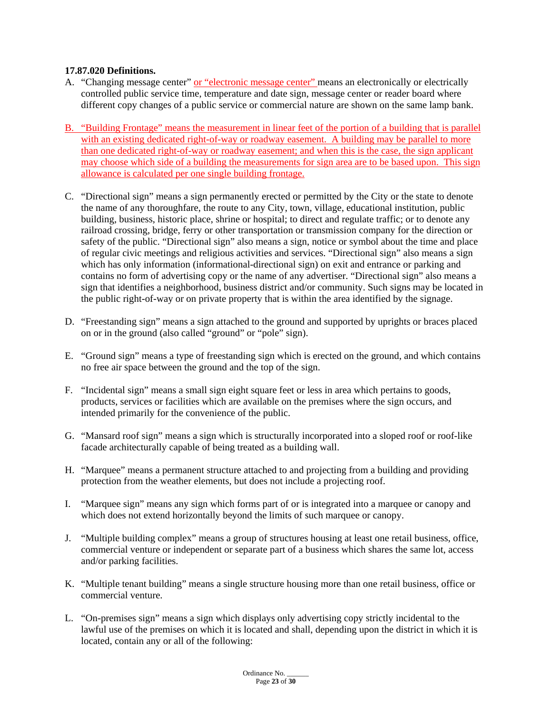# **17.87.020 Definitions.**

- A. "Changing message center" or "electronic message center" means an electronically or electrically controlled public service time, temperature and date sign, message center or reader board where different copy changes of a public service or commercial nature are shown on the same lamp bank.
- B. "Building Frontage" means the measurement in linear feet of the portion of a building that is parallel with an existing dedicated right-of-way or roadway easement. A building may be parallel to more than one dedicated right-of-way or roadway easement; and when this is the case, the sign applicant may choose which side of a building the measurements for sign area are to be based upon. This sign allowance is calculated per one single building frontage.
- C. "Directional sign" means a sign permanently erected or permitted by the City or the state to denote the name of any thoroughfare, the route to any City, town, village, educational institution, public building, business, historic place, shrine or hospital; to direct and regulate traffic; or to denote any railroad crossing, bridge, ferry or other transportation or transmission company for the direction or safety of the public. "Directional sign" also means a sign, notice or symbol about the time and place of regular civic meetings and religious activities and services. "Directional sign" also means a sign which has only information (informational-directional sign) on exit and entrance or parking and contains no form of advertising copy or the name of any advertiser. "Directional sign" also means a sign that identifies a neighborhood, business district and/or community. Such signs may be located in the public right-of-way or on private property that is within the area identified by the signage.
- D. "Freestanding sign" means a sign attached to the ground and supported by uprights or braces placed on or in the ground (also called "ground" or "pole" sign).
- E. "Ground sign" means a type of freestanding sign which is erected on the ground, and which contains no free air space between the ground and the top of the sign.
- F. "Incidental sign" means a small sign eight square feet or less in area which pertains to goods, products, services or facilities which are available on the premises where the sign occurs, and intended primarily for the convenience of the public.
- G. "Mansard roof sign" means a sign which is structurally incorporated into a sloped roof or roof-like facade architecturally capable of being treated as a building wall.
- H. "Marquee" means a permanent structure attached to and projecting from a building and providing protection from the weather elements, but does not include a projecting roof.
- I. "Marquee sign" means any sign which forms part of or is integrated into a marquee or canopy and which does not extend horizontally beyond the limits of such marquee or canopy.
- J. "Multiple building complex" means a group of structures housing at least one retail business, office, commercial venture or independent or separate part of a business which shares the same lot, access and/or parking facilities.
- K. "Multiple tenant building" means a single structure housing more than one retail business, office or commercial venture.
- L. "On-premises sign" means a sign which displays only advertising copy strictly incidental to the lawful use of the premises on which it is located and shall, depending upon the district in which it is located, contain any or all of the following: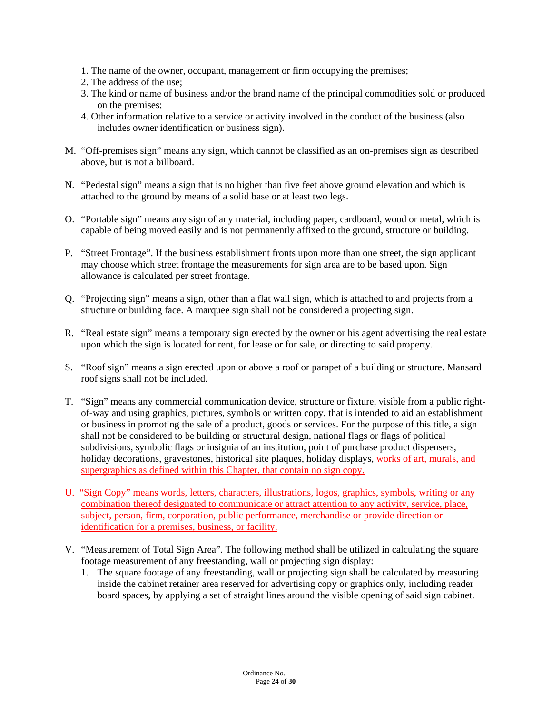- 1. The name of the owner, occupant, management or firm occupying the premises;
- 2. The address of the use;
- 3. The kind or name of business and/or the brand name of the principal commodities sold or produced on the premises;
- 4. Other information relative to a service or activity involved in the conduct of the business (also includes owner identification or business sign).
- M. "Off-premises sign" means any sign, which cannot be classified as an on-premises sign as described above, but is not a billboard.
- N. "Pedestal sign" means a sign that is no higher than five feet above ground elevation and which is attached to the ground by means of a solid base or at least two legs.
- O. "Portable sign" means any sign of any material, including paper, cardboard, wood or metal, which is capable of being moved easily and is not permanently affixed to the ground, structure or building.
- P. "Street Frontage". If the business establishment fronts upon more than one street, the sign applicant may choose which street frontage the measurements for sign area are to be based upon. Sign allowance is calculated per street frontage.
- Q. "Projecting sign" means a sign, other than a flat wall sign, which is attached to and projects from a structure or building face. A marquee sign shall not be considered a projecting sign.
- R. "Real estate sign" means a temporary sign erected by the owner or his agent advertising the real estate upon which the sign is located for rent, for lease or for sale, or directing to said property.
- S. "Roof sign" means a sign erected upon or above a roof or parapet of a building or structure. Mansard roof signs shall not be included.
- T. "Sign" means any commercial communication device, structure or fixture, visible from a public rightof-way and using graphics, pictures, symbols or written copy, that is intended to aid an establishment or business in promoting the sale of a product, goods or services. For the purpose of this title, a sign shall not be considered to be building or structural design, national flags or flags of political subdivisions, symbolic flags or insignia of an institution, point of purchase product dispensers, holiday decorations, gravestones, historical site plaques, holiday displays, works of art, murals, and supergraphics as defined within this Chapter, that contain no sign copy.
- U. "Sign Copy" means words, letters, characters, illustrations, logos, graphics, symbols, writing or any combination thereof designated to communicate or attract attention to any activity, service, place, subject, person, firm, corporation, public performance, merchandise or provide direction or identification for a premises, business, or facility.
- V. "Measurement of Total Sign Area". The following method shall be utilized in calculating the square footage measurement of any freestanding, wall or projecting sign display:
	- 1. The square footage of any freestanding, wall or projecting sign shall be calculated by measuring inside the cabinet retainer area reserved for advertising copy or graphics only, including reader board spaces, by applying a set of straight lines around the visible opening of said sign cabinet.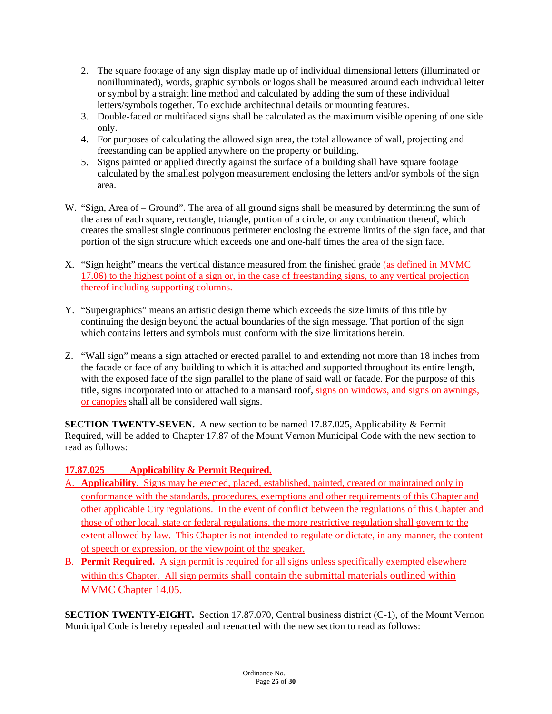- 2. The square footage of any sign display made up of individual dimensional letters (illuminated or nonilluminated), words, graphic symbols or logos shall be measured around each individual letter or symbol by a straight line method and calculated by adding the sum of these individual letters/symbols together. To exclude architectural details or mounting features.
- 3. Double-faced or multifaced signs shall be calculated as the maximum visible opening of one side only.
- 4. For purposes of calculating the allowed sign area, the total allowance of wall, projecting and freestanding can be applied anywhere on the property or building.
- 5. Signs painted or applied directly against the surface of a building shall have square footage calculated by the smallest polygon measurement enclosing the letters and/or symbols of the sign area.
- W. "Sign, Area of Ground". The area of all ground signs shall be measured by determining the sum of the area of each square, rectangle, triangle, portion of a circle, or any combination thereof, which creates the smallest single continuous perimeter enclosing the extreme limits of the sign face, and that portion of the sign structure which exceeds one and one-half times the area of the sign face.
- X. "Sign height" means the vertical distance measured from the finished grade (as defined in MVMC 17.06) to the highest point of a sign or, in the case of freestanding signs, to any vertical projection thereof including supporting columns.
- Y. "Supergraphics" means an artistic design theme which exceeds the size limits of this title by continuing the design beyond the actual boundaries of the sign message. That portion of the sign which contains letters and symbols must conform with the size limitations herein.
- Z. "Wall sign" means a sign attached or erected parallel to and extending not more than 18 inches from the facade or face of any building to which it is attached and supported throughout its entire length, with the exposed face of the sign parallel to the plane of said wall or facade. For the purpose of this title, signs incorporated into or attached to a mansard roof, signs on windows, and signs on awnings, or canopies shall all be considered wall signs.

**SECTION TWENTY-SEVEN.** A new section to be named 17.87.025, Applicability & Permit Required, will be added to Chapter 17.87 of the Mount Vernon Municipal Code with the new section to read as follows:

# **17.87.025 Applicability & Permit Required.**

- A. **Applicability**. Signs may be erected, placed, established, painted, created or maintained only in conformance with the standards, procedures, exemptions and other requirements of this Chapter and other applicable City regulations. In the event of conflict between the regulations of this Chapter and those of other local, state or federal regulations, the more restrictive regulation shall govern to the extent allowed by law. This Chapter is not intended to regulate or dictate, in any manner, the content of speech or expression, or the viewpoint of the speaker.
- B. **Permit Required.** A sign permit is required for all signs unless specifically exempted elsewhere within this Chapter. All sign permits shall contain the submittal materials outlined within MVMC Chapter 14.05.

**SECTION TWENTY-EIGHT.** Section 17.87.070, Central business district (C-1), of the Mount Vernon Municipal Code is hereby repealed and reenacted with the new section to read as follows: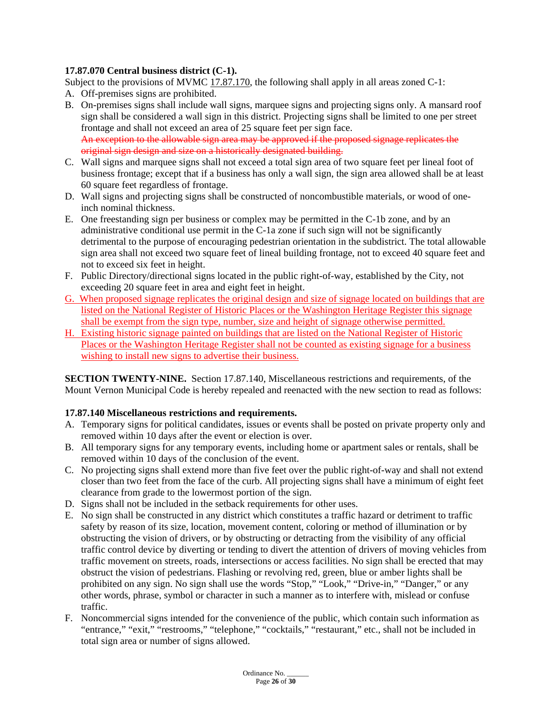# **17.87.070 Central business district (C-1).**

Subject to the provisions of MVMC [17.87.170,](https://www.codepublishing.com/WA/MountVernon/#!/MountVernon17/MountVernon1787.html#17.87.170) the following shall apply in all areas zoned C-1:

- A. Off-premises signs are prohibited.
- B. On-premises signs shall include wall signs, marquee signs and projecting signs only. A mansard roof sign shall be considered a wall sign in this district. Projecting signs shall be limited to one per street frontage and shall not exceed an area of 25 square feet per sign face. An exception to the allowable sign area may be approved if the proposed signage replicates the original sign design and size on a historically designated building.
- C. Wall signs and marquee signs shall not exceed a total sign area of two square feet per lineal foot of business frontage; except that if a business has only a wall sign, the sign area allowed shall be at least 60 square feet regardless of frontage.
- D. Wall signs and projecting signs shall be constructed of noncombustible materials, or wood of oneinch nominal thickness.
- E. One freestanding sign per business or complex may be permitted in the C-1b zone, and by an administrative conditional use permit in the C-1a zone if such sign will not be significantly detrimental to the purpose of encouraging pedestrian orientation in the subdistrict. The total allowable sign area shall not exceed two square feet of lineal building frontage, not to exceed 40 square feet and not to exceed six feet in height.
- F. Public Directory/directional signs located in the public right-of-way, established by the City, not exceeding 20 square feet in area and eight feet in height.
- G. When proposed signage replicates the original design and size of signage located on buildings that are listed on the National Register of Historic Places or the Washington Heritage Register this signage shall be exempt from the sign type, number, size and height of signage otherwise permitted.
- H. Existing historic signage painted on buildings that are listed on the National Register of Historic Places or the Washington Heritage Register shall not be counted as existing signage for a business wishing to install new signs to advertise their business.

**SECTION TWENTY-NINE.** Section 17.87.140, Miscellaneous restrictions and requirements, of the Mount Vernon Municipal Code is hereby repealed and reenacted with the new section to read as follows:

# **17.87.140 Miscellaneous restrictions and requirements.**

- A. Temporary signs for political candidates, issues or events shall be posted on private property only and removed within 10 days after the event or election is over.
- B. All temporary signs for any temporary events, including home or apartment sales or rentals, shall be removed within 10 days of the conclusion of the event.
- C. No projecting signs shall extend more than five feet over the public right-of-way and shall not extend closer than two feet from the face of the curb. All projecting signs shall have a minimum of eight feet clearance from grade to the lowermost portion of the sign.
- D. Signs shall not be included in the setback requirements for other uses.
- E. No sign shall be constructed in any district which constitutes a traffic hazard or detriment to traffic safety by reason of its size, location, movement content, coloring or method of illumination or by obstructing the vision of drivers, or by obstructing or detracting from the visibility of any official traffic control device by diverting or tending to divert the attention of drivers of moving vehicles from traffic movement on streets, roads, intersections or access facilities. No sign shall be erected that may obstruct the vision of pedestrians. Flashing or revolving red, green, blue or amber lights shall be prohibited on any sign. No sign shall use the words "Stop," "Look," "Drive-in," "Danger," or any other words, phrase, symbol or character in such a manner as to interfere with, mislead or confuse traffic.
- F. Noncommercial signs intended for the convenience of the public, which contain such information as "entrance," "exit," "restrooms," "telephone," "cocktails," "restaurant," etc., shall not be included in total sign area or number of signs allowed.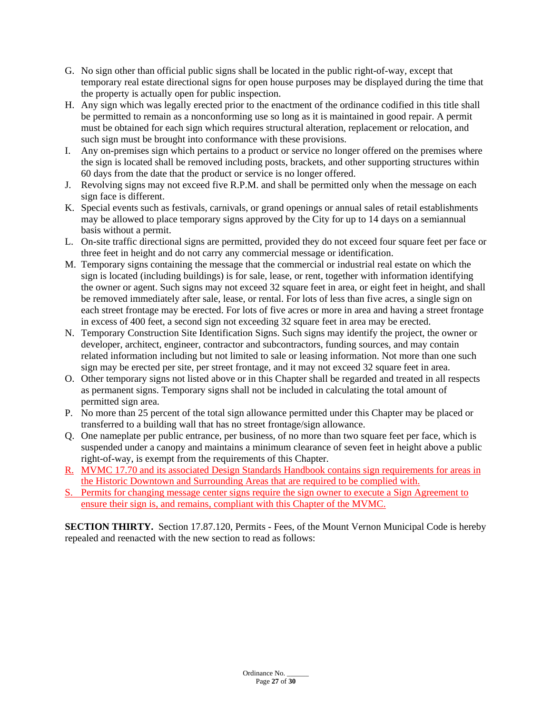- G. No sign other than official public signs shall be located in the public right-of-way, except that temporary real estate directional signs for open house purposes may be displayed during the time that the property is actually open for public inspection.
- H. Any sign which was legally erected prior to the enactment of the ordinance codified in this title shall be permitted to remain as a nonconforming use so long as it is maintained in good repair. A permit must be obtained for each sign which requires structural alteration, replacement or relocation, and such sign must be brought into conformance with these provisions.
- I. Any on-premises sign which pertains to a product or service no longer offered on the premises where the sign is located shall be removed including posts, brackets, and other supporting structures within 60 days from the date that the product or service is no longer offered.
- J. Revolving signs may not exceed five R.P.M. and shall be permitted only when the message on each sign face is different.
- K. Special events such as festivals, carnivals, or grand openings or annual sales of retail establishments may be allowed to place temporary signs approved by the City for up to 14 days on a semiannual basis without a permit.
- L. On-site traffic directional signs are permitted, provided they do not exceed four square feet per face or three feet in height and do not carry any commercial message or identification.
- M. Temporary signs containing the message that the commercial or industrial real estate on which the sign is located (including buildings) is for sale, lease, or rent, together with information identifying the owner or agent. Such signs may not exceed 32 square feet in area, or eight feet in height, and shall be removed immediately after sale, lease, or rental. For lots of less than five acres, a single sign on each street frontage may be erected. For lots of five acres or more in area and having a street frontage in excess of 400 feet, a second sign not exceeding 32 square feet in area may be erected.
- N. Temporary Construction Site Identification Signs. Such signs may identify the project, the owner or developer, architect, engineer, contractor and subcontractors, funding sources, and may contain related information including but not limited to sale or leasing information. Not more than one such sign may be erected per site, per street frontage, and it may not exceed 32 square feet in area.
- O. Other temporary signs not listed above or in this Chapter shall be regarded and treated in all respects as permanent signs. Temporary signs shall not be included in calculating the total amount of permitted sign area.
- P. No more than 25 percent of the total sign allowance permitted under this Chapter may be placed or transferred to a building wall that has no street frontage/sign allowance.
- Q. One nameplate per public entrance, per business, of no more than two square feet per face, which is suspended under a canopy and maintains a minimum clearance of seven feet in height above a public right-of-way, is exempt from the requirements of this Chapter.
- R. MVMC 17.70 and its associated Design Standards Handbook contains sign requirements for areas in the Historic Downtown and Surrounding Areas that are required to be complied with.
- S. Permits for changing message center signs require the sign owner to execute a Sign Agreement to ensure their sign is, and remains, compliant with this Chapter of the MVMC.

**SECTION THIRTY.** Section 17.87.120, Permits - Fees, of the Mount Vernon Municipal Code is hereby repealed and reenacted with the new section to read as follows: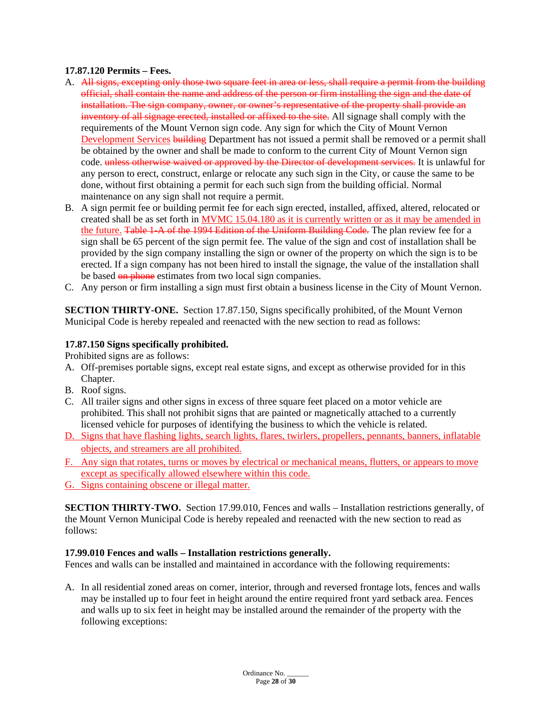#### **17.87.120 Permits – Fees.**

- A. All signs, excepting only those two square feet in area or less, shall require a permit from the building official, shall contain the name and address of the person or firm installing the sign and the date of installation. The sign company, owner, or owner's representative of the property shall provide an inventory of all signage erected, installed or affixed to the site. All signage shall comply with the requirements of the Mount Vernon sign code. Any sign for which the City of Mount Vernon Development Services building Department has not issued a permit shall be removed or a permit shall be obtained by the owner and shall be made to conform to the current City of Mount Vernon sign code. unless otherwise waived or approved by the Director of development services. It is unlawful for any person to erect, construct, enlarge or relocate any such sign in the City, or cause the same to be done, without first obtaining a permit for each such sign from the building official. Normal maintenance on any sign shall not require a permit.
- B. A sign permit fee or building permit fee for each sign erected, installed, affixed, altered, relocated or created shall be as set forth in MVMC 15.04.180 as it is currently written or as it may be amended in the future. Table 1-A of the 1994 Edition of the Uniform Building Code. The plan review fee for a sign shall be 65 percent of the sign permit fee. The value of the sign and cost of installation shall be provided by the sign company installing the sign or owner of the property on which the sign is to be erected. If a sign company has not been hired to install the signage, the value of the installation shall be based on phone estimates from two local sign companies.
- C. Any person or firm installing a sign must first obtain a business license in the City of Mount Vernon.

**SECTION THIRTY-ONE.** Section 17.87.150, Signs specifically prohibited, of the Mount Vernon Municipal Code is hereby repealed and reenacted with the new section to read as follows:

# **17.87.150 Signs specifically prohibited.**

Prohibited signs are as follows:

- A. Off-premises portable signs, except real estate signs, and except as otherwise provided for in this Chapter.
- B. Roof signs.
- C. All trailer signs and other signs in excess of three square feet placed on a motor vehicle are prohibited. This shall not prohibit signs that are painted or magnetically attached to a currently licensed vehicle for purposes of identifying the business to which the vehicle is related.
- D. Signs that have flashing lights, search lights, flares, twirlers, propellers, pennants, banners, inflatable objects, and streamers are all prohibited.
- F. Any sign that rotates, turns or moves by electrical or mechanical means, flutters, or appears to move except as specifically allowed elsewhere within this code.
- G. Signs containing obscene or illegal matter.

**SECTION THIRTY-TWO.** Section 17.99.010, Fences and walls – Installation restrictions generally, of the Mount Vernon Municipal Code is hereby repealed and reenacted with the new section to read as follows:

#### **17.99.010 Fences and walls – Installation restrictions generally.**

Fences and walls can be installed and maintained in accordance with the following requirements:

A. In all residential zoned areas on corner, interior, through and reversed frontage lots, fences and walls may be installed up to four feet in height around the entire required front yard setback area. Fences and walls up to six feet in height may be installed around the remainder of the property with the following exceptions: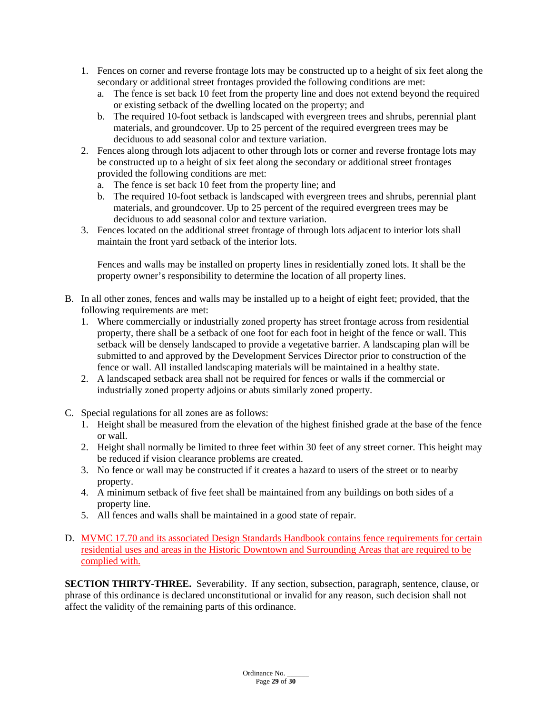- 1. Fences on corner and reverse frontage lots may be constructed up to a height of six feet along the secondary or additional street frontages provided the following conditions are met:
	- a. The fence is set back 10 feet from the property line and does not extend beyond the required or existing setback of the dwelling located on the property; and
	- b. The required 10-foot setback is landscaped with evergreen trees and shrubs, perennial plant materials, and groundcover. Up to 25 percent of the required evergreen trees may be deciduous to add seasonal color and texture variation.
- 2. Fences along through lots adjacent to other through lots or corner and reverse frontage lots may be constructed up to a height of six feet along the secondary or additional street frontages provided the following conditions are met:
	- a. The fence is set back 10 feet from the property line; and
	- b. The required 10-foot setback is landscaped with evergreen trees and shrubs, perennial plant materials, and groundcover. Up to 25 percent of the required evergreen trees may be deciduous to add seasonal color and texture variation.
- 3. Fences located on the additional street frontage of through lots adjacent to interior lots shall maintain the front yard setback of the interior lots.

Fences and walls may be installed on property lines in residentially zoned lots. It shall be the property owner's responsibility to determine the location of all property lines.

- B. In all other zones, fences and walls may be installed up to a height of eight feet; provided, that the following requirements are met:
	- 1. Where commercially or industrially zoned property has street frontage across from residential property, there shall be a setback of one foot for each foot in height of the fence or wall. This setback will be densely landscaped to provide a vegetative barrier. A landscaping plan will be submitted to and approved by the Development Services Director prior to construction of the fence or wall. All installed landscaping materials will be maintained in a healthy state.
	- 2. A landscaped setback area shall not be required for fences or walls if the commercial or industrially zoned property adjoins or abuts similarly zoned property.
- C. Special regulations for all zones are as follows:
	- 1. Height shall be measured from the elevation of the highest finished grade at the base of the fence or wall.
	- 2. Height shall normally be limited to three feet within 30 feet of any street corner. This height may be reduced if vision clearance problems are created.
	- 3. No fence or wall may be constructed if it creates a hazard to users of the street or to nearby property.
	- 4. A minimum setback of five feet shall be maintained from any buildings on both sides of a property line.
	- 5. All fences and walls shall be maintained in a good state of repair.
- D. MVMC 17.70 and its associated Design Standards Handbook contains fence requirements for certain residential uses and areas in the Historic Downtown and Surrounding Areas that are required to be complied with.

**SECTION THIRTY-THREE.** Severability. If any section, subsection, paragraph, sentence, clause, or phrase of this ordinance is declared unconstitutional or invalid for any reason, such decision shall not affect the validity of the remaining parts of this ordinance.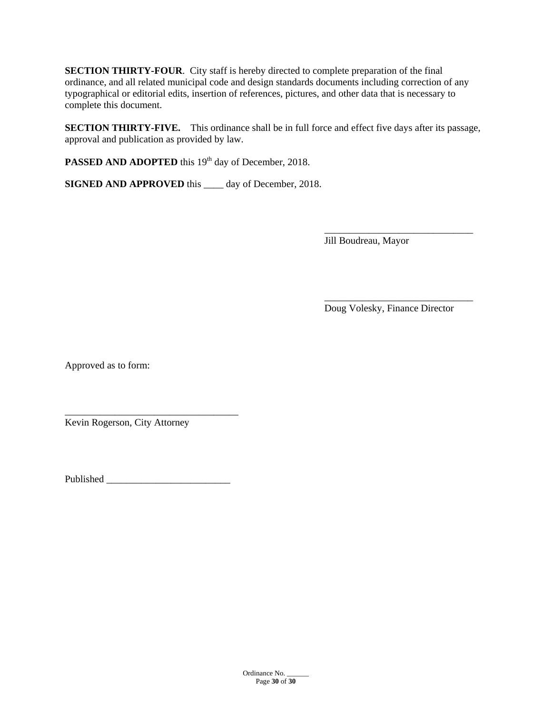**SECTION THIRTY-FOUR**. City staff is hereby directed to complete preparation of the final ordinance, and all related municipal code and design standards documents including correction of any typographical or editorial edits, insertion of references, pictures, and other data that is necessary to complete this document.

**SECTION THIRTY-FIVE.** This ordinance shall be in full force and effect five days after its passage, approval and publication as provided by law.

**PASSED AND ADOPTED** this 19<sup>th</sup> day of December, 2018.

**SIGNED AND APPROVED** this \_\_\_\_ day of December, 2018.

\_\_\_\_\_\_\_\_\_\_\_\_\_\_\_\_\_\_\_\_\_\_\_\_\_\_\_\_\_\_ Jill Boudreau, Mayor

Doug Volesky, Finance Director

\_\_\_\_\_\_\_\_\_\_\_\_\_\_\_\_\_\_\_\_\_\_\_\_\_\_\_\_\_\_

Approved as to form:

\_\_\_\_\_\_\_\_\_\_\_\_\_\_\_\_\_\_\_\_\_\_\_\_\_\_\_\_\_\_\_\_\_\_\_ Kevin Rogerson, City Attorney

Published \_\_\_\_\_\_\_\_\_\_\_\_\_\_\_\_\_\_\_\_\_\_\_\_\_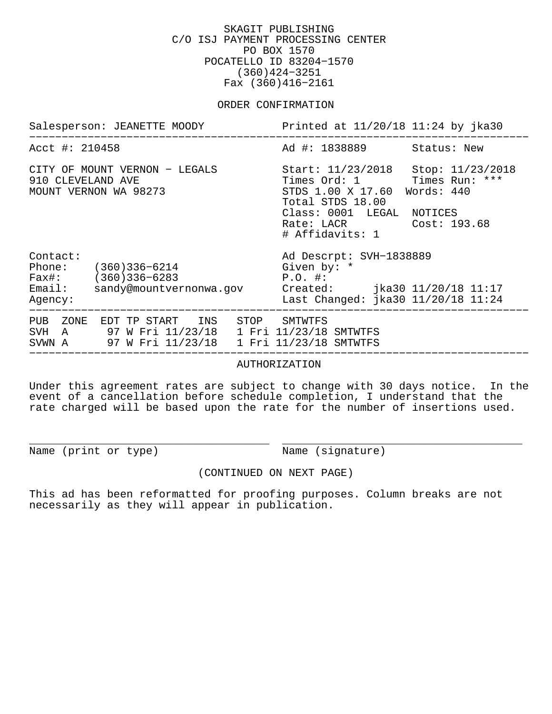SKAGIT PUBLISHING C/O ISJ PAYMENT PROCESSING CENTER PO BOX 1570 POCATELLO ID 83204−1570 (360)424−3251 Fax (360)416−2161

#### ORDER CONFIRMATION

| Salesperson: JEANETTE MOODY                                                                                                               | Printed at 11/20/18 11:24 by jka30                                                                                                                                                               |
|-------------------------------------------------------------------------------------------------------------------------------------------|--------------------------------------------------------------------------------------------------------------------------------------------------------------------------------------------------|
| Acct #: 210458                                                                                                                            | Ad #: 1838889 Status: New                                                                                                                                                                        |
| CITY OF MOUNT VERNON - LEGALS<br>910 CLEVELAND AVE<br>MOUNT VERNON WA 98273                                                               | Start: 11/23/2018 Stop: 11/23/2018<br>Times Ord: 1 Times Run: ***<br>STDS 1.00 X 17.60 Words: 440<br>Total STDS 18.00<br>Class: 0001 LEGAL NOTICES<br>Rate: LACR Cost: 193.68<br># Affidavits: 1 |
| Contact:<br>Phone: (360)336-6214<br>Fax#: (360)336-6283<br>Email:<br>sandy@mountvernonwa.gov<br>Agency:                                   | Ad Descrpt: SVH-1838889<br>Given by: *<br>$P.O.$ #:<br>Created: jka30 11/20/18 11:17<br>Last Changed: jka30 11/20/18 11:24                                                                       |
| PUB ZONE<br>INS STOP<br>EDT TP START<br>SVH A 97 W Fri 11/23/18 1 Fri 11/23/18 SMTWTFS<br>SVWN A 97 W Fri 11/23/18 1 Fri 11/23/18 SMTWTFS | SMTWTFS                                                                                                                                                                                          |

AUTHORIZATION

Under this agreement rates are subject to change with 30 days notice. In the event of a cancellation before schedule completion, I understand that the rate charged will be based upon the rate for the number of insertions used.

Name (print or type) Name (signature)

(CONTINUED ON NEXT PAGE)

\_\_\_\_\_\_\_\_\_\_\_\_\_\_\_\_\_\_\_\_\_\_\_\_\_\_\_\_\_\_\_\_\_\_\_\_\_ \_\_\_\_\_\_\_\_\_\_\_\_\_\_\_\_\_\_\_\_\_\_\_\_\_\_\_\_\_\_\_\_\_\_\_\_\_

This ad has been reformatted for proofing purposes. Column breaks are not necessarily as they will appear in publication.